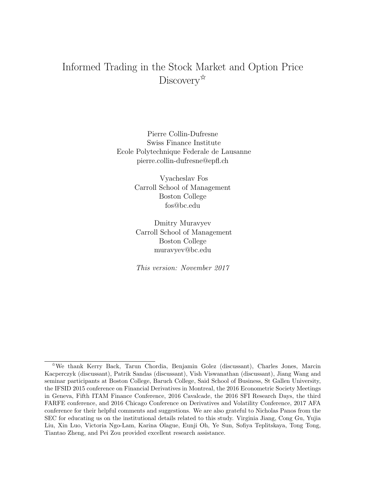# Informed Trading in the Stock Market and Option Price Discovery<sup> $\mathbb{\hat{A}}$ </sup>

Pierre Collin-Dufresne Swiss Finance Institute Ecole Polytechnique Federale de Lausanne pierre.collin-dufresne@epfl.ch

> Vyacheslav Fos Carroll School of Management Boston College fos@bc.edu

Dmitry Muravyev Carroll School of Management Boston College muravyev@bc.edu

This version: November 2017

<sup>✩</sup>We thank Kerry Back, Tarun Chordia, Benjamin Golez (discussant), Charles Jones, Marcin Kacperczyk (discussant), Patrik Sandas (discussant), Vish Viswanathan (discussant), Jiang Wang and seminar participants at Boston College, Baruch College, Said School of Business, St Gallen University, the IFSID 2015 conference on Financial Derivatives in Montreal, the 2016 Econometric Society Meetings in Geneva, Fifth ITAM Finance Conference, 2016 Cavalcade, the 2016 SFI Research Days, the third FARFE conference, and 2016 Chicago Conference on Derivatives and Volatility Conference, 2017 AFA conference for their helpful comments and suggestions. We are also grateful to Nicholas Panos from the SEC for educating us on the institutional details related to this study. Virginia Jiang, Cong Gu, Yujia Liu, Xin Luo, Victoria Ngo-Lam, Karina Olague, Eunji Oh, Ye Sun, Sofiya Teplitskaya, Tong Tong, Tiantao Zheng, and Pei Zou provided excellent research assistance.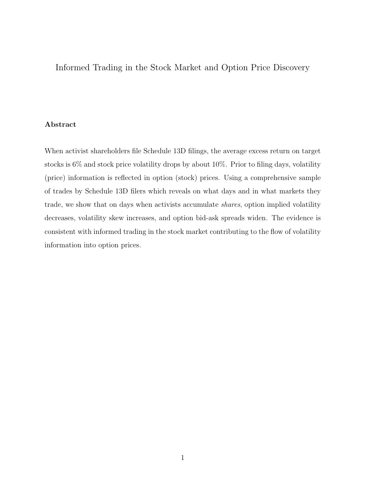# Informed Trading in the Stock Market and Option Price Discovery

# Abstract

When activist shareholders file Schedule 13D filings, the average excess return on target stocks is 6% and stock price volatility drops by about 10%. Prior to filing days, volatility (price) information is reflected in option (stock) prices. Using a comprehensive sample of trades by Schedule 13D filers which reveals on what days and in what markets they trade, we show that on days when activists accumulate shares, option implied volatility decreases, volatility skew increases, and option bid-ask spreads widen. The evidence is consistent with informed trading in the stock market contributing to the flow of volatility information into option prices.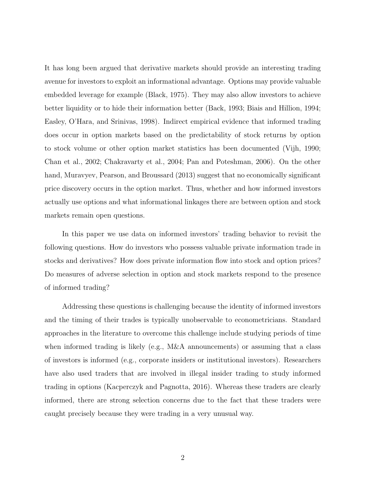It has long been argued that derivative markets should provide an interesting trading avenue for investors to exploit an informational advantage. Options may provide valuable embedded leverage for example (Black, 1975). They may also allow investors to achieve better liquidity or to hide their information better (Back, 1993; Biais and Hillion, 1994; Easley, O'Hara, and Srinivas, 1998). Indirect empirical evidence that informed trading does occur in option markets based on the predictability of stock returns by option to stock volume or other option market statistics has been documented (Vijh, 1990; Chan et al., 2002; Chakravarty et al., 2004; Pan and Poteshman, 2006). On the other hand, Muravyev, Pearson, and Broussard (2013) suggest that no economically significant price discovery occurs in the option market. Thus, whether and how informed investors actually use options and what informational linkages there are between option and stock markets remain open questions.

In this paper we use data on informed investors' trading behavior to revisit the following questions. How do investors who possess valuable private information trade in stocks and derivatives? How does private information flow into stock and option prices? Do measures of adverse selection in option and stock markets respond to the presence of informed trading?

Addressing these questions is challenging because the identity of informed investors and the timing of their trades is typically unobservable to econometricians. Standard approaches in the literature to overcome this challenge include studying periods of time when informed trading is likely (e.g., M&A announcements) or assuming that a class of investors is informed (e.g., corporate insiders or institutional investors). Researchers have also used traders that are involved in illegal insider trading to study informed trading in options (Kacperczyk and Pagnotta, 2016). Whereas these traders are clearly informed, there are strong selection concerns due to the fact that these traders were caught precisely because they were trading in a very unusual way.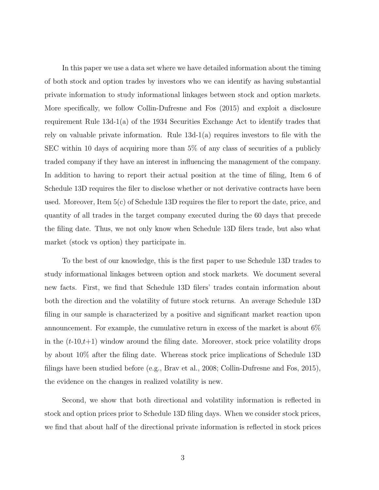In this paper we use a data set where we have detailed information about the timing of both stock and option trades by investors who we can identify as having substantial private information to study informational linkages between stock and option markets. More specifically, we follow Collin-Dufresne and Fos (2015) and exploit a disclosure requirement Rule 13d-1(a) of the 1934 Securities Exchange Act to identify trades that rely on valuable private information. Rule 13d-1(a) requires investors to file with the SEC within 10 days of acquiring more than 5% of any class of securities of a publicly traded company if they have an interest in influencing the management of the company. In addition to having to report their actual position at the time of filing, Item 6 of Schedule 13D requires the filer to disclose whether or not derivative contracts have been used. Moreover, Item 5(c) of Schedule 13D requires the filer to report the date, price, and quantity of all trades in the target company executed during the 60 days that precede the filing date. Thus, we not only know when Schedule 13D filers trade, but also what market (stock vs option) they participate in.

To the best of our knowledge, this is the first paper to use Schedule 13D trades to study informational linkages between option and stock markets. We document several new facts. First, we find that Schedule 13D filers' trades contain information about both the direction and the volatility of future stock returns. An average Schedule 13D filing in our sample is characterized by a positive and significant market reaction upon announcement. For example, the cumulative return in excess of the market is about 6% in the  $(t-10,t+1)$  window around the filing date. Moreover, stock price volatility drops by about 10% after the filing date. Whereas stock price implications of Schedule 13D filings have been studied before (e.g., Brav et al., 2008; Collin-Dufresne and Fos, 2015), the evidence on the changes in realized volatility is new.

Second, we show that both directional and volatility information is reflected in stock and option prices prior to Schedule 13D filing days. When we consider stock prices, we find that about half of the directional private information is reflected in stock prices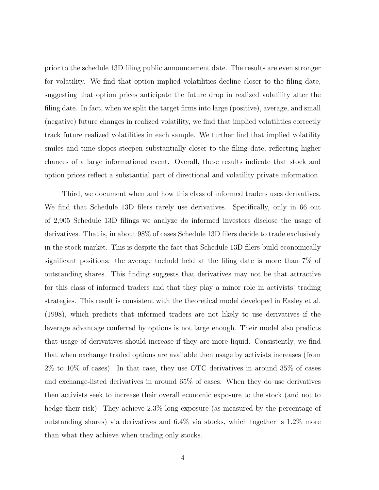prior to the schedule 13D filing public announcement date. The results are even stronger for volatility. We find that option implied volatilities decline closer to the filing date, suggesting that option prices anticipate the future drop in realized volatility after the filing date. In fact, when we split the target firms into large (positive), average, and small (negative) future changes in realized volatility, we find that implied volatilities correctly track future realized volatilities in each sample. We further find that implied volatility smiles and time-slopes steepen substantially closer to the filing date, reflecting higher chances of a large informational event. Overall, these results indicate that stock and option prices reflect a substantial part of directional and volatility private information.

Third, we document when and how this class of informed traders uses derivatives. We find that Schedule 13D filers rarely use derivatives. Specifically, only in 66 out of 2,905 Schedule 13D filings we analyze do informed investors disclose the usage of derivatives. That is, in about 98% of cases Schedule 13D filers decide to trade exclusively in the stock market. This is despite the fact that Schedule 13D filers build economically significant positions: the average toehold held at the filing date is more than 7% of outstanding shares. This finding suggests that derivatives may not be that attractive for this class of informed traders and that they play a minor role in activists' trading strategies. This result is consistent with the theoretical model developed in Easley et al. (1998), which predicts that informed traders are not likely to use derivatives if the leverage advantage conferred by options is not large enough. Their model also predicts that usage of derivatives should increase if they are more liquid. Consistently, we find that when exchange traded options are available then usage by activists increases (from 2% to 10% of cases). In that case, they use OTC derivatives in around 35% of cases and exchange-listed derivatives in around 65% of cases. When they do use derivatives then activists seek to increase their overall economic exposure to the stock (and not to hedge their risk). They achieve 2.3% long exposure (as measured by the percentage of outstanding shares) via derivatives and 6.4% via stocks, which together is 1.2% more than what they achieve when trading only stocks.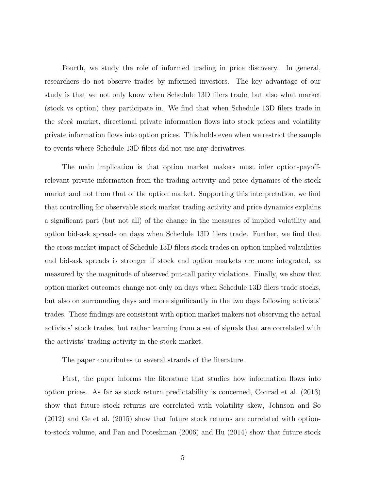Fourth, we study the role of informed trading in price discovery. In general, researchers do not observe trades by informed investors. The key advantage of our study is that we not only know when Schedule 13D filers trade, but also what market (stock vs option) they participate in. We find that when Schedule 13D filers trade in the stock market, directional private information flows into stock prices and volatility private information flows into option prices. This holds even when we restrict the sample to events where Schedule 13D filers did not use any derivatives.

The main implication is that option market makers must infer option-payoffrelevant private information from the trading activity and price dynamics of the stock market and not from that of the option market. Supporting this interpretation, we find that controlling for observable stock market trading activity and price dynamics explains a significant part (but not all) of the change in the measures of implied volatility and option bid-ask spreads on days when Schedule 13D filers trade. Further, we find that the cross-market impact of Schedule 13D filers stock trades on option implied volatilities and bid-ask spreads is stronger if stock and option markets are more integrated, as measured by the magnitude of observed put-call parity violations. Finally, we show that option market outcomes change not only on days when Schedule 13D filers trade stocks, but also on surrounding days and more significantly in the two days following activists' trades. These findings are consistent with option market makers not observing the actual activists' stock trades, but rather learning from a set of signals that are correlated with the activists' trading activity in the stock market.

The paper contributes to several strands of the literature.

First, the paper informs the literature that studies how information flows into option prices. As far as stock return predictability is concerned, Conrad et al. (2013) show that future stock returns are correlated with volatility skew, Johnson and So (2012) and Ge et al. (2015) show that future stock returns are correlated with optionto-stock volume, and Pan and Poteshman (2006) and Hu (2014) show that future stock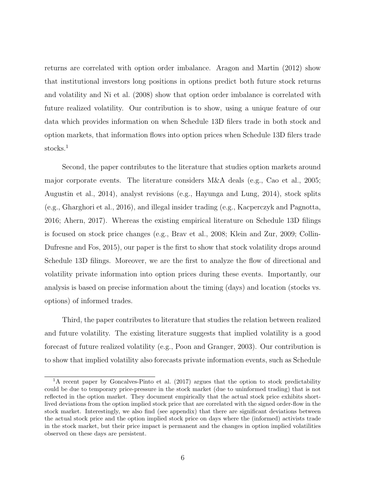returns are correlated with option order imbalance. Aragon and Martin (2012) show that institutional investors long positions in options predict both future stock returns and volatility and Ni et al. (2008) show that option order imbalance is correlated with future realized volatility. Our contribution is to show, using a unique feature of our data which provides information on when Schedule 13D filers trade in both stock and option markets, that information flows into option prices when Schedule 13D filers trade stocks.<sup>1</sup>

Second, the paper contributes to the literature that studies option markets around major corporate events. The literature considers M&A deals (e.g., Cao et al., 2005; Augustin et al., 2014), analyst revisions (e.g., Hayunga and Lung, 2014), stock splits (e.g., Gharghori et al., 2016), and illegal insider trading (e.g., Kacperczyk and Pagnotta, 2016; Ahern, 2017). Whereas the existing empirical literature on Schedule 13D filings is focused on stock price changes (e.g., Brav et al., 2008; Klein and Zur, 2009; Collin-Dufresne and Fos, 2015), our paper is the first to show that stock volatility drops around Schedule 13D filings. Moreover, we are the first to analyze the flow of directional and volatility private information into option prices during these events. Importantly, our analysis is based on precise information about the timing (days) and location (stocks vs. options) of informed trades.

Third, the paper contributes to literature that studies the relation between realized and future volatility. The existing literature suggests that implied volatility is a good forecast of future realized volatility (e.g., Poon and Granger, 2003). Our contribution is to show that implied volatility also forecasts private information events, such as Schedule

<sup>&</sup>lt;sup>1</sup>A recent paper by Goncalves-Pinto et al.  $(2017)$  argues that the option to stock predictability could be due to temporary price-pressure in the stock market (due to uninformed trading) that is not reflected in the option market. They document empirically that the actual stock price exhibits shortlived deviations from the option implied stock price that are correlated with the signed order-flow in the stock market. Interestingly, we also find (see appendix) that there are significant deviations between the actual stock price and the option implied stock price on days where the (informed) activists trade in the stock market, but their price impact is permanent and the changes in option implied volatilities observed on these days are persistent.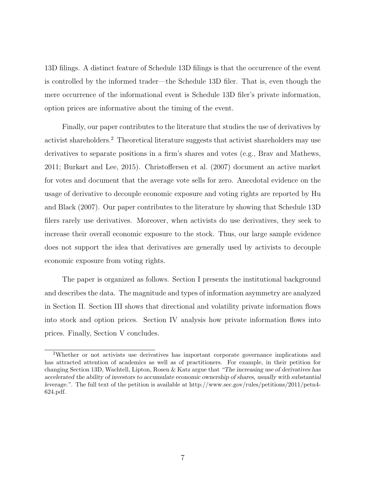13D filings. A distinct feature of Schedule 13D filings is that the occurrence of the event is controlled by the informed trader—the Schedule 13D filer. That is, even though the mere occurrence of the informational event is Schedule 13D filer's private information, option prices are informative about the timing of the event.

Finally, our paper contributes to the literature that studies the use of derivatives by activist shareholders.<sup>2</sup> Theoretical literature suggests that activist shareholders may use derivatives to separate positions in a firm's shares and votes (e.g., Brav and Mathews, 2011; Burkart and Lee, 2015). Christoffersen et al. (2007) document an active market for votes and document that the average vote sells for zero. Anecdotal evidence on the usage of derivative to decouple economic exposure and voting rights are reported by Hu and Black (2007). Our paper contributes to the literature by showing that Schedule 13D filers rarely use derivatives. Moreover, when activists do use derivatives, they seek to increase their overall economic exposure to the stock. Thus, our large sample evidence does not support the idea that derivatives are generally used by activists to decouple economic exposure from voting rights.

The paper is organized as follows. Section I presents the institutional background and describes the data. The magnitude and types of information asymmetry are analyzed in Section II. Section III shows that directional and volatility private information flows into stock and option prices. Section IV analysis how private information flows into prices. Finally, Section V concludes.

<sup>2</sup>Whether or not activists use derivatives has important corporate governance implications and has attracted attention of academics as well as of practitioners. For example, in their petition for changing Section 13D, Wachtell, Lipton, Rosen & Katz argue that "The increasing use of derivatives has accelerated the ability of investors to accumulate economic ownership of shares, usually with substantial leverage.". The full text of the petition is available at http://www.sec.gov/rules/petitions/2011/petn4- 624.pdf.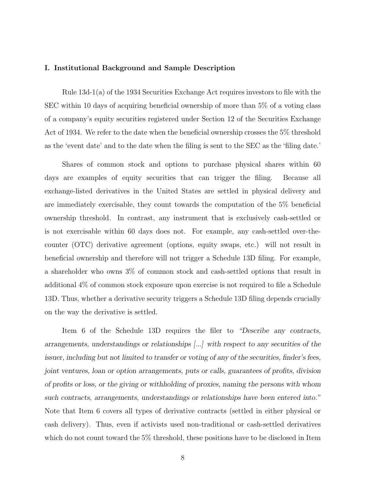#### I. Institutional Background and Sample Description

Rule 13d-1(a) of the 1934 Securities Exchange Act requires investors to file with the SEC within 10 days of acquiring beneficial ownership of more than 5% of a voting class of a company's equity securities registered under Section 12 of the Securities Exchange Act of 1934. We refer to the date when the beneficial ownership crosses the 5% threshold as the 'event date' and to the date when the filing is sent to the SEC as the 'filing date.'

Shares of common stock and options to purchase physical shares within 60 days are examples of equity securities that can trigger the filing. Because all exchange-listed derivatives in the United States are settled in physical delivery and are immediately exercisable, they count towards the computation of the 5% beneficial ownership threshold. In contrast, any instrument that is exclusively cash-settled or is not exercisable within 60 days does not. For example, any cash-settled over-thecounter (OTC) derivative agreement (options, equity swaps, etc.) will not result in beneficial ownership and therefore will not trigger a Schedule 13D filing. For example, a shareholder who owns 3% of common stock and cash-settled options that result in additional 4% of common stock exposure upon exercise is not required to file a Schedule 13D. Thus, whether a derivative security triggers a Schedule 13D filing depends crucially on the way the derivative is settled.

Item 6 of the Schedule 13D requires the filer to "Describe any contracts, arrangements, understandings or relationships [...] with respect to any securities of the issuer, including but not limited to transfer or voting of any of the securities, finder's fees, joint ventures, loan or option arrangements, puts or calls, guarantees of profits, division of profits or loss, or the giving or withholding of proxies, naming the persons with whom such contracts, arrangements, understandings or relationships have been entered into." Note that Item 6 covers all types of derivative contracts (settled in either physical or cash delivery). Thus, even if activists used non-traditional or cash-settled derivatives which do not count toward the 5% threshold, these positions have to be disclosed in Item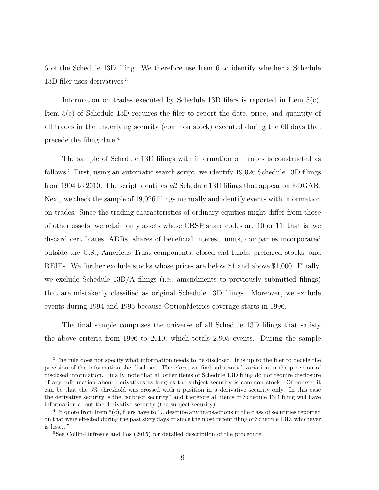6 of the Schedule 13D filing. We therefore use Item 6 to identify whether a Schedule 13D filer uses derivatives.<sup>3</sup>

Information on trades executed by Schedule 13D filers is reported in Item 5(c). Item 5(c) of Schedule 13D requires the filer to report the date, price, and quantity of all trades in the underlying security (common stock) executed during the 60 days that precede the filing date.<sup>4</sup>

The sample of Schedule 13D filings with information on trades is constructed as follows.<sup>5</sup> First, using an automatic search script, we identify 19,026 Schedule 13D filings from 1994 to 2010. The script identifies all Schedule 13D filings that appear on EDGAR. Next, we check the sample of 19,026 filings manually and identify events with information on trades. Since the trading characteristics of ordinary equities might differ from those of other assets, we retain only assets whose CRSP share codes are 10 or 11, that is, we discard certificates, ADRs, shares of beneficial interest, units, companies incorporated outside the U.S., Americus Trust components, closed-end funds, preferred stocks, and REITs. We further exclude stocks whose prices are below \$1 and above \$1,000. Finally, we exclude Schedule 13D/A filings (i.e., amendments to previously submitted filings) that are mistakenly classified as original Schedule 13D filings. Moreover, we exclude events during 1994 and 1995 because OptionMetrics coverage starts in 1996.

The final sample comprises the universe of all Schedule 13D filings that satisfy the above criteria from 1996 to 2010, which totals 2,905 events. During the sample

<sup>3</sup>The rule does not specify what information needs to be disclosed. It is up to the filer to decide the precision of the information she discloses. Therefore, we find substantial variation in the precision of disclosed information. Finally, note that all other items of Schedule 13D filing do not require disclosure of any information about derivatives as long as the subject security is common stock. Of course, it can be that the 5% threshold was crossed with a position in a derivative security only. In this case the derivative security is the "subject security" and therefore all items of Schedule 13D filing will have information about the derivative security (the subject security).

 $4$ To quote from Item  $5(c)$ , filers have to "...describe any transactions in the class of securities reported on that were effected during the past sixty days or since the most recent filing of Schedule 13D, whichever is less,..."

<sup>5</sup>See Collin-Dufresne and Fos (2015) for detailed description of the procedure.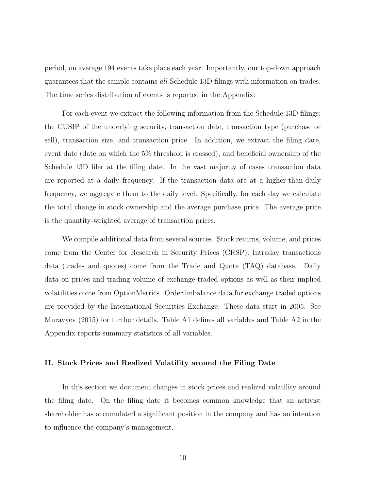period, on average 194 events take place each year. Importantly, our top-down approach guarantees that the sample contains all Schedule 13D filings with information on trades. The time series distribution of events is reported in the Appendix.

For each event we extract the following information from the Schedule 13D filings: the CUSIP of the underlying security, transaction date, transaction type (purchase or sell), transaction size, and transaction price. In addition, we extract the filing date, event date (date on which the 5% threshold is crossed), and beneficial ownership of the Schedule 13D filer at the filing date. In the vast majority of cases transaction data are reported at a daily frequency. If the transaction data are at a higher-than-daily frequency, we aggregate them to the daily level. Specifically, for each day we calculate the total change in stock ownership and the average purchase price. The average price is the quantity-weighted average of transaction prices.

We compile additional data from several sources. Stock returns, volume, and prices come from the Center for Research in Security Prices (CRSP). Intraday transactions data (trades and quotes) come from the Trade and Quote (TAQ) database. Daily data on prices and trading volume of exchange-traded options as well as their implied volatilities come from OptionMetrics. Order imbalance data for exchange traded options are provided by the International Securities Exchange. These data start in 2005. See Muravyev (2015) for further details. Table A1 defines all variables and Table A2 in the Appendix reports summary statistics of all variables.

#### II. Stock Prices and Realized Volatility around the Filing Date

In this section we document changes in stock prices and realized volatility around the filing date. On the filing date it becomes common knowledge that an activist shareholder has accumulated a significant position in the company and has an intention to influence the company's management.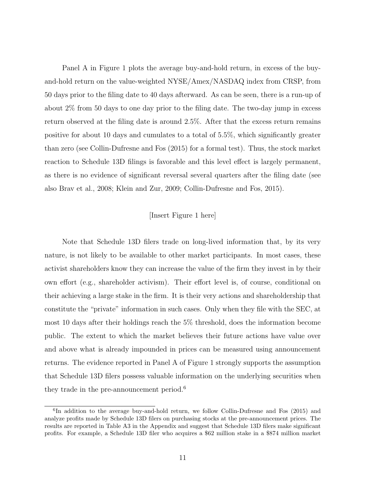Panel A in Figure 1 plots the average buy-and-hold return, in excess of the buyand-hold return on the value-weighted NYSE/Amex/NASDAQ index from CRSP, from 50 days prior to the filing date to 40 days afterward. As can be seen, there is a run-up of about 2% from 50 days to one day prior to the filing date. The two-day jump in excess return observed at the filing date is around 2.5%. After that the excess return remains positive for about 10 days and cumulates to a total of 5.5%, which significantly greater than zero (see Collin-Dufresne and Fos (2015) for a formal test). Thus, the stock market reaction to Schedule 13D filings is favorable and this level effect is largely permanent, as there is no evidence of significant reversal several quarters after the filing date (see also Brav et al., 2008; Klein and Zur, 2009; Collin-Dufresne and Fos, 2015).

# [Insert Figure 1 here]

Note that Schedule 13D filers trade on long-lived information that, by its very nature, is not likely to be available to other market participants. In most cases, these activist shareholders know they can increase the value of the firm they invest in by their own effort (e.g., shareholder activism). Their effort level is, of course, conditional on their achieving a large stake in the firm. It is their very actions and shareholdership that constitute the "private" information in such cases. Only when they file with the SEC, at most 10 days after their holdings reach the 5% threshold, does the information become public. The extent to which the market believes their future actions have value over and above what is already impounded in prices can be measured using announcement returns. The evidence reported in Panel A of Figure 1 strongly supports the assumption that Schedule 13D filers possess valuable information on the underlying securities when they trade in the pre-announcement period.<sup>6</sup>

<sup>&</sup>lt;sup>6</sup>In addition to the average buy-and-hold return, we follow Collin-Dufresne and Fos (2015) and analyze profits made by Schedule 13D filers on purchasing stocks at the pre-announcement prices. The results are reported in Table A3 in the Appendix and suggest that Schedule 13D filers make significant profits. For example, a Schedule 13D filer who acquires a \$62 million stake in a \$874 million market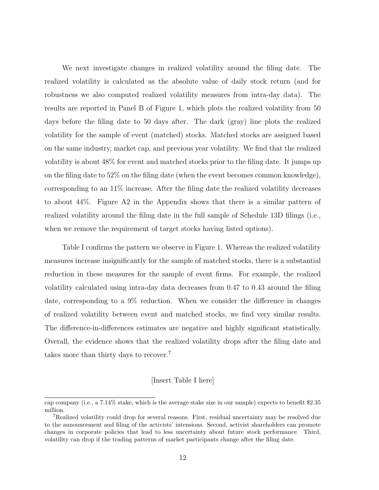We next investigate changes in realized volatility around the filing date. The realized volatility is calculated as the absolute value of daily stock return (and for robustness we also computed realized volatility measures from intra-day data). The results are reported in Panel B of Figure 1, which plots the realized volatility from 50 days before the filing date to 50 days after. The dark (gray) line plots the realized volatility for the sample of event (matched) stocks. Matched stocks are assigned based on the same industry, market cap, and previous year volatility. We find that the realized volatility is about 48% for event and matched stocks prior to the filing date. It jumps up on the filing date to 52% on the filing date (when the event becomes common knowledge), corresponding to an 11% increase. After the filing date the realized volatility decreases to about 44%. Figure A2 in the Appendix shows that there is a similar pattern of realized volatility around the filing date in the full sample of Schedule 13D filings (i.e., when we remove the requirement of target stocks having listed options).

Table I confirms the pattern we observe in Figure 1. Whereas the realized volatility measures increase insignificantly for the sample of matched stocks, there is a substantial reduction in these measures for the sample of event firms. For example, the realized volatility calculated using intra-day data decreases from 0.47 to 0.43 around the filing date, corresponding to a 9% reduction. When we consider the difference in changes of realized volatility between event and matched stocks, we find very similar results. The difference-in-differences estimates are negative and highly significant statistically. Overall, the evidence shows that the realized volatility drops after the filing date and takes more than thirty days to recover.<sup>7</sup>

# [Insert Table I here]

cap company (i.e., a 7.14% stake, which is the average stake size in our sample) expects to benefit \$2.35 million.

<sup>7</sup>Realized volatility could drop for several reasons. First, residual uncertainty may be resolved due to the announcement and filing of the activists' intensions. Second, activist shareholders can promote changes in corporate policies that lead to less uncertainty about future stock performance. Third, volatility can drop if the trading patterns of market participants change after the filing date.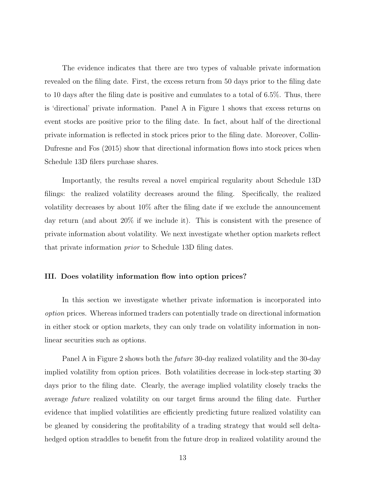The evidence indicates that there are two types of valuable private information revealed on the filing date. First, the excess return from 50 days prior to the filing date to 10 days after the filing date is positive and cumulates to a total of 6.5%. Thus, there is 'directional' private information. Panel A in Figure 1 shows that excess returns on event stocks are positive prior to the filing date. In fact, about half of the directional private information is reflected in stock prices prior to the filing date. Moreover, Collin-Dufresne and Fos (2015) show that directional information flows into stock prices when Schedule 13D filers purchase shares.

Importantly, the results reveal a novel empirical regularity about Schedule 13D filings: the realized volatility decreases around the filing. Specifically, the realized volatility decreases by about 10% after the filing date if we exclude the announcement day return (and about 20% if we include it). This is consistent with the presence of private information about volatility. We next investigate whether option markets reflect that private information prior to Schedule 13D filing dates.

#### III. Does volatility information flow into option prices?

In this section we investigate whether private information is incorporated into option prices. Whereas informed traders can potentially trade on directional information in either stock or option markets, they can only trade on volatility information in nonlinear securities such as options.

Panel A in Figure 2 shows both the future 30-day realized volatility and the 30-day implied volatility from option prices. Both volatilities decrease in lock-step starting 30 days prior to the filing date. Clearly, the average implied volatility closely tracks the average future realized volatility on our target firms around the filing date. Further evidence that implied volatilities are efficiently predicting future realized volatility can be gleaned by considering the profitability of a trading strategy that would sell deltahedged option straddles to benefit from the future drop in realized volatility around the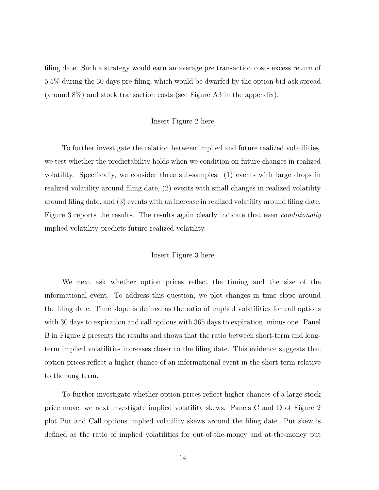filing date. Such a strategy would earn an average pre transaction costs excess return of 5.5% during the 30 days pre-filing, which would be dwarfed by the option bid-ask spread (around 8%) and stock transaction costs (see Figure A3 in the appendix).

#### [Insert Figure 2 here]

To further investigate the relation between implied and future realized volatilities, we test whether the predictability holds when we condition on future changes in realized volatility. Specifically, we consider three sub-samples: (1) events with large drops in realized volatility around filing date, (2) events with small changes in realized volatility around filing date, and (3) events with an increase in realized volatility around filing date. Figure 3 reports the results. The results again clearly indicate that even *conditionally* implied volatility predicts future realized volatility.

# [Insert Figure 3 here]

We next ask whether option prices reflect the timing and the size of the informational event. To address this question, we plot changes in time slope around the filing date. Time slope is defined as the ratio of implied volatilities for call options with 30 days to expiration and call options with 365 days to expiration, minus one. Panel B in Figure 2 presents the results and shows that the ratio between short-term and longterm implied volatilities increases closer to the filing date. This evidence suggests that option prices reflect a higher chance of an informational event in the short term relative to the long term.

To further investigate whether option prices reflect higher chances of a large stock price move, we next investigate implied volatility skews. Panels C and D of Figure 2 plot Put and Call options implied volatility skews around the filing date. Put skew is defined as the ratio of implied volatilities for out-of-the-money and at-the-money put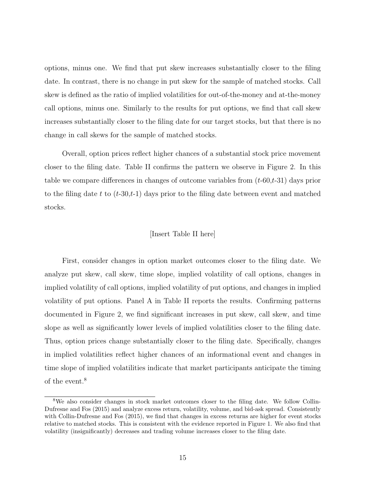options, minus one. We find that put skew increases substantially closer to the filing date. In contrast, there is no change in put skew for the sample of matched stocks. Call skew is defined as the ratio of implied volatilities for out-of-the-money and at-the-money call options, minus one. Similarly to the results for put options, we find that call skew increases substantially closer to the filing date for our target stocks, but that there is no change in call skews for the sample of matched stocks.

Overall, option prices reflect higher chances of a substantial stock price movement closer to the filing date. Table II confirms the pattern we observe in Figure 2. In this table we compare differences in changes of outcome variables from  $(t-60,t-31)$  days prior to the filing date t to  $(t-30,t-1)$  days prior to the filing date between event and matched stocks.

#### [Insert Table II here]

First, consider changes in option market outcomes closer to the filing date. We analyze put skew, call skew, time slope, implied volatility of call options, changes in implied volatility of call options, implied volatility of put options, and changes in implied volatility of put options. Panel A in Table II reports the results. Confirming patterns documented in Figure 2, we find significant increases in put skew, call skew, and time slope as well as significantly lower levels of implied volatilities closer to the filing date. Thus, option prices change substantially closer to the filing date. Specifically, changes in implied volatilities reflect higher chances of an informational event and changes in time slope of implied volatilities indicate that market participants anticipate the timing of the event.<sup>8</sup>

<sup>&</sup>lt;sup>8</sup>We also consider changes in stock market outcomes closer to the filing date. We follow Collin-Dufresne and Fos (2015) and analyze excess return, volatility, volume, and bid-ask spread. Consistently with Collin-Dufresne and Fos (2015), we find that changes in excess returns are higher for event stocks relative to matched stocks. This is consistent with the evidence reported in Figure 1. We also find that volatility (insignificantly) decreases and trading volume increases closer to the filing date.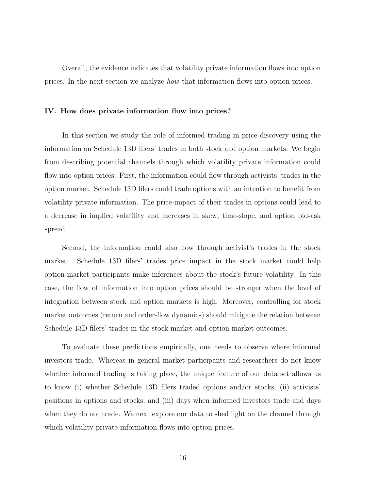Overall, the evidence indicates that volatility private information flows into option prices. In the next section we analyze how that information flows into option prices.

#### IV. How does private information flow into prices?

In this section we study the role of informed trading in price discovery using the information on Schedule 13D filers' trades in both stock and option markets. We begin from describing potential channels through which volatility private information could flow into option prices. First, the information could flow through activists' trades in the option market. Schedule 13D filers could trade options with an intention to benefit from volatility private information. The price-impact of their trades in options could lead to a decrease in implied volatility and increases in skew, time-slope, and option bid-ask spread.

Second, the information could also flow through activist's trades in the stock market. Schedule 13D filers' trades price impact in the stock market could help option-market participants make inferences about the stock's future volatility. In this case, the flow of information into option prices should be stronger when the level of integration between stock and option markets is high. Moreover, controlling for stock market outcomes (return and order-flow dynamics) should mitigate the relation between Schedule 13D filers' trades in the stock market and option market outcomes.

To evaluate these predictions empirically, one needs to observe where informed investors trade. Whereas in general market participants and researchers do not know whether informed trading is taking place, the unique feature of our data set allows us to know (i) whether Schedule 13D filers traded options and/or stocks, (ii) activists' positions in options and stocks, and (iii) days when informed investors trade and days when they do not trade. We next explore our data to shed light on the channel through which volatility private information flows into option prices.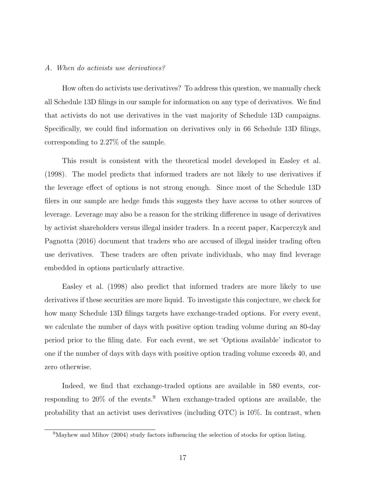#### A. When do activists use derivatives?

How often do activists use derivatives? To address this question, we manually check all Schedule 13D filings in our sample for information on any type of derivatives. We find that activists do not use derivatives in the vast majority of Schedule 13D campaigns. Specifically, we could find information on derivatives only in 66 Schedule 13D filings, corresponding to 2.27% of the sample.

This result is consistent with the theoretical model developed in Easley et al. (1998). The model predicts that informed traders are not likely to use derivatives if the leverage effect of options is not strong enough. Since most of the Schedule 13D filers in our sample are hedge funds this suggests they have access to other sources of leverage. Leverage may also be a reason for the striking difference in usage of derivatives by activist shareholders versus illegal insider traders. In a recent paper, Kacperczyk and Pagnotta (2016) document that traders who are accused of illegal insider trading often use derivatives. These traders are often private individuals, who may find leverage embedded in options particularly attractive.

Easley et al. (1998) also predict that informed traders are more likely to use derivatives if these securities are more liquid. To investigate this conjecture, we check for how many Schedule 13D filings targets have exchange-traded options. For every event, we calculate the number of days with positive option trading volume during an 80-day period prior to the filing date. For each event, we set 'Options available' indicator to one if the number of days with days with positive option trading volume exceeds 40, and zero otherwise.

Indeed, we find that exchange-traded options are available in 580 events, corresponding to  $20\%$  of the events.<sup>9</sup> When exchange-traded options are available, the probability that an activist uses derivatives (including OTC) is 10%. In contrast, when

 $9$ Mayhew and Mihov (2004) study factors influencing the selection of stocks for option listing.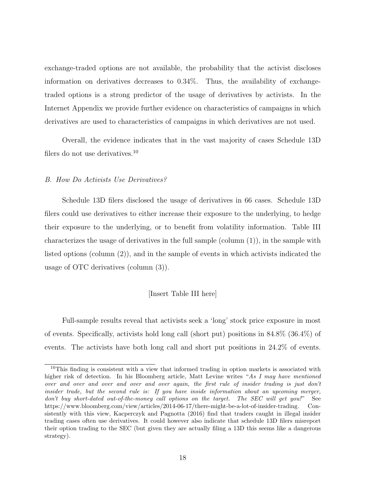exchange-traded options are not available, the probability that the activist discloses information on derivatives decreases to 0.34%. Thus, the availability of exchangetraded options is a strong predictor of the usage of derivatives by activists. In the Internet Appendix we provide further evidence on characteristics of campaigns in which derivatives are used to characteristics of campaigns in which derivatives are not used.

Overall, the evidence indicates that in the vast majority of cases Schedule 13D filers do not use derivatives.<sup>10</sup>

#### B. How Do Activists Use Derivatives?

Schedule 13D filers disclosed the usage of derivatives in 66 cases. Schedule 13D filers could use derivatives to either increase their exposure to the underlying, to hedge their exposure to the underlying, or to benefit from volatility information. Table III characterizes the usage of derivatives in the full sample (column  $(1)$ ), in the sample with listed options (column (2)), and in the sample of events in which activists indicated the usage of OTC derivatives (column (3)).

#### [Insert Table III here]

Full-sample results reveal that activists seek a 'long' stock price exposure in most of events. Specifically, activists hold long call (short put) positions in 84.8% (36.4%) of events. The activists have both long call and short put positions in 24.2% of events.

<sup>&</sup>lt;sup>10</sup>This finding is consistent with a view that informed trading in option markets is associated with higher risk of detection. In his Bloomberg article, Matt Levine writes "As I may have mentioned over and over and over and over and over again, the first rule of insider trading is just don't insider trade, but the second rule is: If you have inside information about an upcoming merger, don't buy short-dated out-of-the-money call options on the target. The SEC will get you!" See https://www.bloomberg.com/view/articles/2014-06-17/there-might-be-a-lot-of-insider-trading. Consistently with this view, Kacperczyk and Pagnotta (2016) find that traders caught in illegal insider trading cases often use derivatives. It could however also indicate that schedule 13D filers misreport their option trading to the SEC (but given they are actually filing a 13D this seems like a dangerous strategy).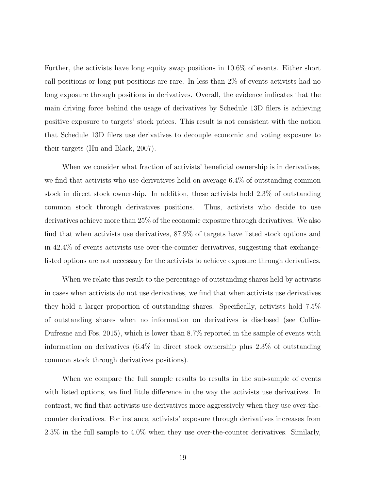Further, the activists have long equity swap positions in 10.6% of events. Either short call positions or long put positions are rare. In less than 2% of events activists had no long exposure through positions in derivatives. Overall, the evidence indicates that the main driving force behind the usage of derivatives by Schedule 13D filers is achieving positive exposure to targets' stock prices. This result is not consistent with the notion that Schedule 13D filers use derivatives to decouple economic and voting exposure to their targets (Hu and Black, 2007).

When we consider what fraction of activists' beneficial ownership is in derivatives, we find that activists who use derivatives hold on average 6.4% of outstanding common stock in direct stock ownership. In addition, these activists hold 2.3% of outstanding common stock through derivatives positions. Thus, activists who decide to use derivatives achieve more than 25% of the economic exposure through derivatives. We also find that when activists use derivatives, 87.9% of targets have listed stock options and in 42.4% of events activists use over-the-counter derivatives, suggesting that exchangelisted options are not necessary for the activists to achieve exposure through derivatives.

When we relate this result to the percentage of outstanding shares held by activists in cases when activists do not use derivatives, we find that when activists use derivatives they hold a larger proportion of outstanding shares. Specifically, activists hold 7.5% of outstanding shares when no information on derivatives is disclosed (see Collin-Dufresne and Fos, 2015), which is lower than 8.7% reported in the sample of events with information on derivatives (6.4% in direct stock ownership plus 2.3% of outstanding common stock through derivatives positions).

When we compare the full sample results to results in the sub-sample of events with listed options, we find little difference in the way the activists use derivatives. In contrast, we find that activists use derivatives more aggressively when they use over-thecounter derivatives. For instance, activists' exposure through derivatives increases from 2.3% in the full sample to 4.0% when they use over-the-counter derivatives. Similarly,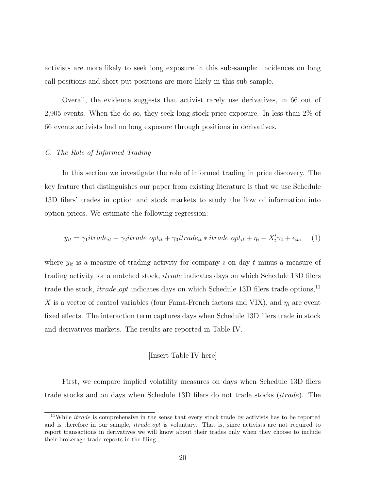activists are more likely to seek long exposure in this sub-sample: incidences on long call positions and short put positions are more likely in this sub-sample.

Overall, the evidence suggests that activist rarely use derivatives, in 66 out of 2,905 events. When the do so, they seek long stock price exposure. In less than 2% of 66 events activists had no long exposure through positions in derivatives.

## C. The Role of Informed Trading

In this section we investigate the role of informed trading in price discovery. The key feature that distinguishes our paper from existing literature is that we use Schedule 13D filers' trades in option and stock markets to study the flow of information into option prices. We estimate the following regression:

$$
y_{it} = \gamma_1 it \, r \, a \, e_{it} + \gamma_2 it \, r \, a \, d \, e_{i} + \gamma_3 it \, r \, a \, e_{it} * \, i \, r \, a \, d \, e_{i} \, o \, p \, t_{it} + \eta_i + X'_t \gamma_4 + \epsilon_{it}, \tag{1}
$$

where  $y_{it}$  is a measure of trading activity for company i on day t minus a measure of trading activity for a matched stock, itrade indicates days on which Schedule 13D filers trade the stock, *itrade opt* indicates days on which Schedule 13D filers trade options,<sup>11</sup> X is a vector of control variables (four Fama-French factors and VIX), and  $\eta_i$  are event fixed effects. The interaction term captures days when Schedule 13D filers trade in stock and derivatives markets. The results are reported in Table IV.

#### [Insert Table IV here]

First, we compare implied volatility measures on days when Schedule 13D filers trade stocks and on days when Schedule 13D filers do not trade stocks (itrade). The

 $11$ While *itrade* is comprehensive in the sense that every stock trade by activists has to be reported and is therefore in our sample, *itrade\_opt* is voluntary. That is, since activists are not required to report transactions in derivatives we will know about their trades only when they choose to include their brokerage trade-reports in the filing.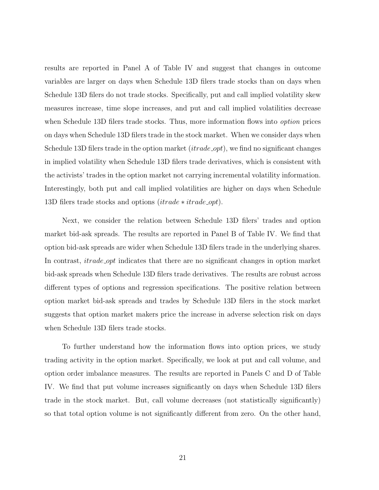results are reported in Panel A of Table IV and suggest that changes in outcome variables are larger on days when Schedule 13D filers trade stocks than on days when Schedule 13D filers do not trade stocks. Specifically, put and call implied volatility skew measures increase, time slope increases, and put and call implied volatilities decrease when Schedule 13D filers trade stocks. Thus, more information flows into *option* prices on days when Schedule 13D filers trade in the stock market. When we consider days when Schedule 13D filers trade in the option market *(itrade opt)*, we find no significant changes in implied volatility when Schedule 13D filers trade derivatives, which is consistent with the activists' trades in the option market not carrying incremental volatility information. Interestingly, both put and call implied volatilities are higher on days when Schedule 13D filers trade stocks and options (*itrade ∗ itrade\_opt*).

Next, we consider the relation between Schedule 13D filers' trades and option market bid-ask spreads. The results are reported in Panel B of Table IV. We find that option bid-ask spreads are wider when Schedule 13D filers trade in the underlying shares. In contrast, *itrade opt* indicates that there are no significant changes in option market bid-ask spreads when Schedule 13D filers trade derivatives. The results are robust across different types of options and regression specifications. The positive relation between option market bid-ask spreads and trades by Schedule 13D filers in the stock market suggests that option market makers price the increase in adverse selection risk on days when Schedule 13D filers trade stocks.

To further understand how the information flows into option prices, we study trading activity in the option market. Specifically, we look at put and call volume, and option order imbalance measures. The results are reported in Panels C and D of Table IV. We find that put volume increases significantly on days when Schedule 13D filers trade in the stock market. But, call volume decreases (not statistically significantly) so that total option volume is not significantly different from zero. On the other hand,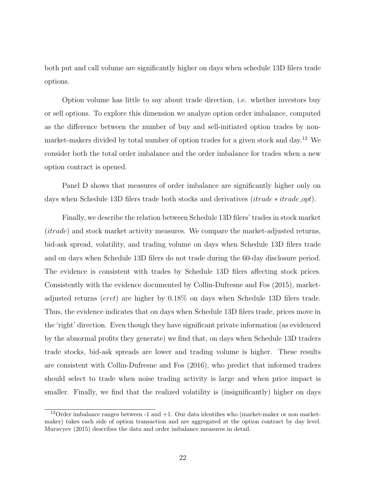both put and call volume are significantly higher on days when schedule 13D filers trade options.

Option volume has little to say about trade direction, i.e. whether investors buy or sell options. To explore this dimension we analyze option order imbalance, computed as the difference between the number of buy and sell-initiated option trades by nonmarket-makers divided by total number of option trades for a given stock and day.<sup>12</sup> We consider both the total order imbalance and the order imbalance for trades when a new option contract is opened.

Panel D shows that measures of order imbalance are significantly higher only on days when Schedule 13D filers trade both stocks and derivatives (*itrade ∗ itrade\_opt*).

Finally, we describe the relation between Schedule 13D filers' trades in stock market (itrade) and stock market activity measures. We compare the market-adjusted returns, bid-ask spread, volatility, and trading volume on days when Schedule 13D filers trade and on days when Schedule 13D filers do not trade during the 60-day disclosure period. The evidence is consistent with trades by Schedule 13D filers affecting stock prices. Consistently with the evidence documented by Collin-Dufresne and Fos (2015), marketadjusted returns (eret) are higher by 0.18% on days when Schedule 13D filers trade. Thus, the evidence indicates that on days when Schedule 13D filers trade, prices move in the 'right' direction. Even though they have significant private information (as evidenced by the abnormal profits they generate) we find that, on days when Schedule 13D traders trade stocks, bid-ask spreads are lower and trading volume is higher. These results are consistent with Collin-Dufresne and Fos (2016), who predict that informed traders should select to trade when noise trading activity is large and when price impact is smaller. Finally, we find that the realized volatility is (insignificantly) higher on days

 $12$ Order imbalance ranges between -1 and +1. Our data identifies who (market-maker or non marketmaker) takes each side of option transaction and are aggregated at the option contract by day level. Muravyev (2015) describes the data and order imbalance measures in detail.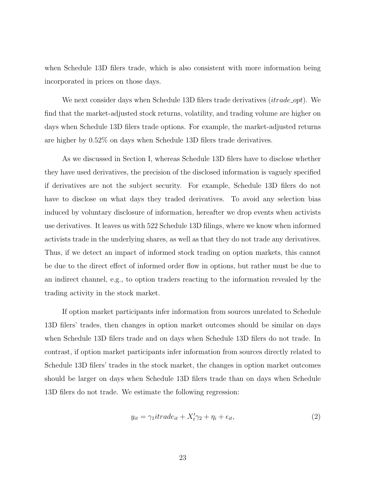when Schedule 13D filers trade, which is also consistent with more information being incorporated in prices on those days.

We next consider days when Schedule 13D filers trade derivatives  $(itrade\_opt)$ . We find that the market-adjusted stock returns, volatility, and trading volume are higher on days when Schedule 13D filers trade options. For example, the market-adjusted returns are higher by 0.52% on days when Schedule 13D filers trade derivatives.

As we discussed in Section I, whereas Schedule 13D filers have to disclose whether they have used derivatives, the precision of the disclosed information is vaguely specified if derivatives are not the subject security. For example, Schedule 13D filers do not have to disclose on what days they traded derivatives. To avoid any selection bias induced by voluntary disclosure of information, hereafter we drop events when activists use derivatives. It leaves us with 522 Schedule 13D filings, where we know when informed activists trade in the underlying shares, as well as that they do not trade any derivatives. Thus, if we detect an impact of informed stock trading on option markets, this cannot be due to the direct effect of informed order flow in options, but rather must be due to an indirect channel, e.g., to option traders reacting to the information revealed by the trading activity in the stock market.

If option market participants infer information from sources unrelated to Schedule 13D filers' trades, then changes in option market outcomes should be similar on days when Schedule 13D filers trade and on days when Schedule 13D filers do not trade. In contrast, if option market participants infer information from sources directly related to Schedule 13D filers' trades in the stock market, the changes in option market outcomes should be larger on days when Schedule 13D filers trade than on days when Schedule 13D filers do not trade. We estimate the following regression:

$$
y_{it} = \gamma_1 it \cdot \text{rad} e_{it} + X'_t \gamma_2 + \eta_i + \epsilon_{it}, \tag{2}
$$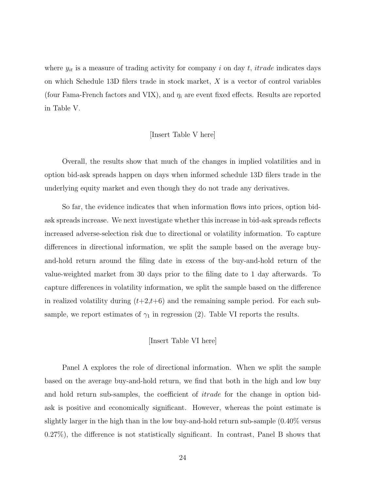where  $y_{it}$  is a measure of trading activity for company i on day t, it rade indicates days on which Schedule 13D filers trade in stock market, X is a vector of control variables (four Fama-French factors and VIX), and  $\eta_i$  are event fixed effects. Results are reported in Table V.

#### [Insert Table V here]

Overall, the results show that much of the changes in implied volatilities and in option bid-ask spreads happen on days when informed schedule 13D filers trade in the underlying equity market and even though they do not trade any derivatives.

So far, the evidence indicates that when information flows into prices, option bidask spreads increase. We next investigate whether this increase in bid-ask spreads reflects increased adverse-selection risk due to directional or volatility information. To capture differences in directional information, we split the sample based on the average buyand-hold return around the filing date in excess of the buy-and-hold return of the value-weighted market from 30 days prior to the filing date to 1 day afterwards. To capture differences in volatility information, we split the sample based on the difference in realized volatility during  $(t+2,t+6)$  and the remaining sample period. For each subsample, we report estimates of  $\gamma_1$  in regression (2). Table VI reports the results.

#### [Insert Table VI here]

Panel A explores the role of directional information. When we split the sample based on the average buy-and-hold return, we find that both in the high and low buy and hold return sub-samples, the coefficient of itrade for the change in option bidask is positive and economically significant. However, whereas the point estimate is slightly larger in the high than in the low buy-and-hold return sub-sample (0.40% versus 0.27%), the difference is not statistically significant. In contrast, Panel B shows that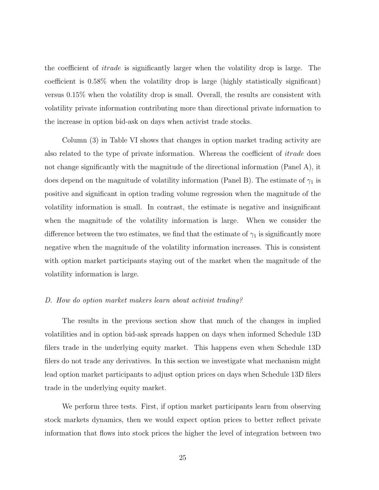the coefficient of itrade is significantly larger when the volatility drop is large. The coefficient is 0.58% when the volatility drop is large (highly statistically significant) versus 0.15% when the volatility drop is small. Overall, the results are consistent with volatility private information contributing more than directional private information to the increase in option bid-ask on days when activist trade stocks.

Column (3) in Table VI shows that changes in option market trading activity are also related to the type of private information. Whereas the coefficient of itrade does not change significantly with the magnitude of the directional information (Panel A), it does depend on the magnitude of volatility information (Panel B). The estimate of  $\gamma_1$  is positive and significant in option trading volume regression when the magnitude of the volatility information is small. In contrast, the estimate is negative and insignificant when the magnitude of the volatility information is large. When we consider the difference between the two estimates, we find that the estimate of  $\gamma_1$  is significantly more negative when the magnitude of the volatility information increases. This is consistent with option market participants staying out of the market when the magnitude of the volatility information is large.

#### D. How do option market makers learn about activist trading?

The results in the previous section show that much of the changes in implied volatilities and in option bid-ask spreads happen on days when informed Schedule 13D filers trade in the underlying equity market. This happens even when Schedule 13D filers do not trade any derivatives. In this section we investigate what mechanism might lead option market participants to adjust option prices on days when Schedule 13D filers trade in the underlying equity market.

We perform three tests. First, if option market participants learn from observing stock markets dynamics, then we would expect option prices to better reflect private information that flows into stock prices the higher the level of integration between two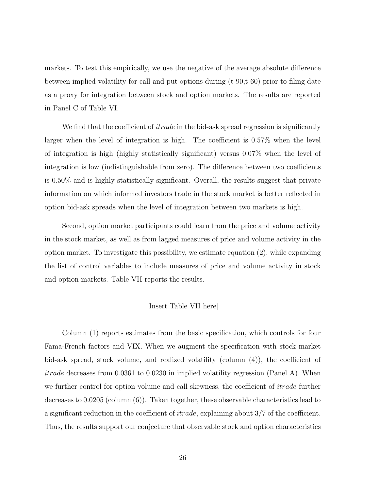markets. To test this empirically, we use the negative of the average absolute difference between implied volatility for call and put options during  $(t-90,t-60)$  prior to filing date as a proxy for integration between stock and option markets. The results are reported in Panel C of Table VI.

We find that the coefficient of *itrade* in the bid-ask spread regression is significantly larger when the level of integration is high. The coefficient is 0.57% when the level of integration is high (highly statistically significant) versus 0.07% when the level of integration is low (indistinguishable from zero). The difference between two coefficients is 0.50% and is highly statistically significant. Overall, the results suggest that private information on which informed investors trade in the stock market is better reflected in option bid-ask spreads when the level of integration between two markets is high.

Second, option market participants could learn from the price and volume activity in the stock market, as well as from lagged measures of price and volume activity in the option market. To investigate this possibility, we estimate equation (2), while expanding the list of control variables to include measures of price and volume activity in stock and option markets. Table VII reports the results.

#### [Insert Table VII here]

Column (1) reports estimates from the basic specification, which controls for four Fama-French factors and VIX. When we augment the specification with stock market bid-ask spread, stock volume, and realized volatility (column (4)), the coefficient of itrade decreases from 0.0361 to 0.0230 in implied volatility regression (Panel A). When we further control for option volume and call skewness, the coefficient of *itrade* further decreases to 0.0205 (column (6)). Taken together, these observable characteristics lead to a significant reduction in the coefficient of  $itrade$ , explaining about  $3/7$  of the coefficient. Thus, the results support our conjecture that observable stock and option characteristics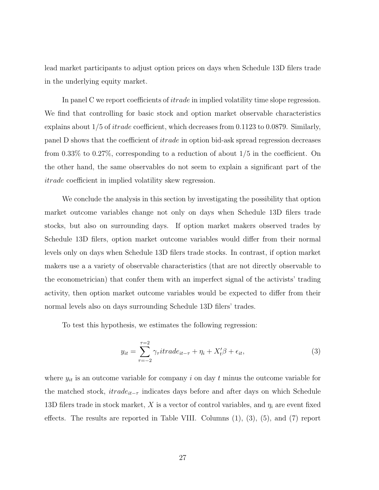lead market participants to adjust option prices on days when Schedule 13D filers trade in the underlying equity market.

In panel C we report coefficients of *itrade* in implied volatility time slope regression. We find that controlling for basic stock and option market observable characteristics explains about 1/5 of itrade coefficient, which decreases from 0.1123 to 0.0879. Similarly, panel D shows that the coefficient of itrade in option bid-ask spread regression decreases from 0.33% to 0.27%, corresponding to a reduction of about 1/5 in the coefficient. On the other hand, the same observables do not seem to explain a significant part of the itrade coefficient in implied volatility skew regression.

We conclude the analysis in this section by investigating the possibility that option market outcome variables change not only on days when Schedule 13D filers trade stocks, but also on surrounding days. If option market makers observed trades by Schedule 13D filers, option market outcome variables would differ from their normal levels only on days when Schedule 13D filers trade stocks. In contrast, if option market makers use a a variety of observable characteristics (that are not directly observable to the econometrician) that confer them with an imperfect signal of the activists' trading activity, then option market outcome variables would be expected to differ from their normal levels also on days surrounding Schedule 13D filers' trades.

To test this hypothesis, we estimates the following regression:

$$
y_{it} = \sum_{\tau=-2}^{\tau=2} \gamma_{\tau} it \, r \, a e_{it-\tau} + \eta_i + X_t' \beta + \epsilon_{it}, \tag{3}
$$

where  $y_{it}$  is an outcome variable for company i on day t minus the outcome variable for the matched stock,  $itrade_{it-\tau}$  indicates days before and after days on which Schedule 13D filers trade in stock market, X is a vector of control variables, and  $\eta_i$  are event fixed effects. The results are reported in Table VIII. Columns (1), (3), (5), and (7) report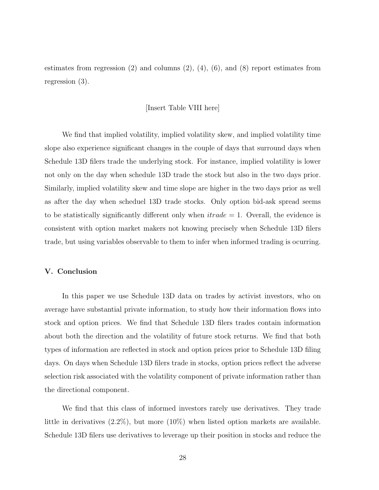estimates from regression (2) and columns (2), (4), (6), and (8) report estimates from regression (3).

#### [Insert Table VIII here]

We find that implied volatility, implied volatility skew, and implied volatility time slope also experience significant changes in the couple of days that surround days when Schedule 13D filers trade the underlying stock. For instance, implied volatility is lower not only on the day when schedule 13D trade the stock but also in the two days prior. Similarly, implied volatility skew and time slope are higher in the two days prior as well as after the day when scheduel 13D trade stocks. Only option bid-ask spread seems to be statistically significantly different only when  $itrade = 1$ . Overall, the evidence is consistent with option market makers not knowing precisely when Schedule 13D filers trade, but using variables observable to them to infer when informed trading is ocurring.

#### V. Conclusion

In this paper we use Schedule 13D data on trades by activist investors, who on average have substantial private information, to study how their information flows into stock and option prices. We find that Schedule 13D filers trades contain information about both the direction and the volatility of future stock returns. We find that both types of information are reflected in stock and option prices prior to Schedule 13D filing days. On days when Schedule 13D filers trade in stocks, option prices reflect the adverse selection risk associated with the volatility component of private information rather than the directional component.

We find that this class of informed investors rarely use derivatives. They trade little in derivatives (2.2%), but more (10%) when listed option markets are available. Schedule 13D filers use derivatives to leverage up their position in stocks and reduce the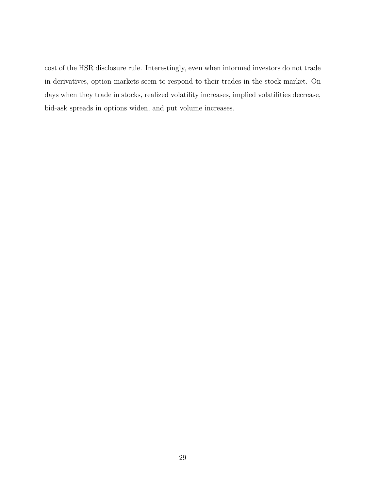cost of the HSR disclosure rule. Interestingly, even when informed investors do not trade in derivatives, option markets seem to respond to their trades in the stock market. On days when they trade in stocks, realized volatility increases, implied volatilities decrease, bid-ask spreads in options widen, and put volume increases.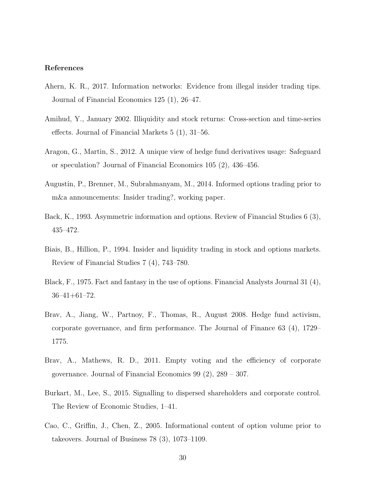### References

- Ahern, K. R., 2017. Information networks: Evidence from illegal insider trading tips. Journal of Financial Economics 125 (1), 26–47.
- Amihud, Y., January 2002. Illiquidity and stock returns: Cross-section and time-series effects. Journal of Financial Markets 5 (1), 31–56.
- Aragon, G., Martin, S., 2012. A unique view of hedge fund derivatives usage: Safeguard or speculation? Journal of Financial Economics 105 (2), 436–456.
- Augustin, P., Brenner, M., Subrahmanyam, M., 2014. Informed options trading prior to m&a announcements: Insider trading?, working paper.
- Back, K., 1993. Asymmetric information and options. Review of Financial Studies 6 (3), 435–472.
- Biais, B., Hillion, P., 1994. Insider and liquidity trading in stock and options markets. Review of Financial Studies 7 (4), 743–780.
- Black, F., 1975. Fact and fantasy in the use of options. Financial Analysts Journal 31 (4), 36–41+61–72.
- Brav, A., Jiang, W., Partnoy, F., Thomas, R., August 2008. Hedge fund activism, corporate governance, and firm performance. The Journal of Finance 63 (4), 1729– 1775.
- Brav, A., Mathews, R. D., 2011. Empty voting and the efficiency of corporate governance. Journal of Financial Economics 99 (2), 289 – 307.
- Burkart, M., Lee, S., 2015. Signalling to dispersed shareholders and corporate control. The Review of Economic Studies, 1–41.
- Cao, C., Griffin, J., Chen, Z., 2005. Informational content of option volume prior to takeovers. Journal of Business 78 (3), 1073–1109.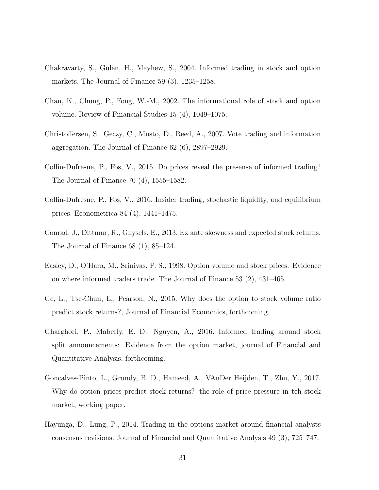- Chakravarty, S., Gulen, H., Mayhew, S., 2004. Informed trading in stock and option markets. The Journal of Finance 59 (3), 1235–1258.
- Chan, K., Chung, P., Fong, W.-M., 2002. The informational role of stock and option volume. Review of Financial Studies 15 (4), 1049–1075.
- Christoffersen, S., Geczy, C., Musto, D., Reed, A., 2007. Vote trading and information aggregation. The Journal of Finance 62 (6), 2897–2929.
- Collin-Dufresne, P., Fos, V., 2015. Do prices reveal the presense of informed trading? The Journal of Finance 70 (4), 1555–1582.
- Collin-Dufresne, P., Fos, V., 2016. Insider trading, stochastic liquidity, and equilibrium prices. Econometrica 84 (4), 1441–1475.
- Conrad, J., Dittmar, R., Ghysels, E., 2013. Ex ante skewness and expected stock returns. The Journal of Finance 68 (1), 85–124.
- Easley, D., O'Hara, M., Srinivas, P. S., 1998. Option volume and stock prices: Evidence on where informed traders trade. The Journal of Finance 53 (2), 431–465.
- Ge, L., Tse-Chun, L., Pearson, N., 2015. Why does the option to stock volume ratio predict stock returns?, Journal of Financial Economics, forthcoming.
- Gharghori, P., Maberly, E. D., Nguyen, A., 2016. Informed trading around stock split announcements: Evidence from the option market, journal of Financial and Quantitative Analysis, forthcoming.
- Goncalves-Pinto, L., Grundy, B. D., Hameed, A., VAnDer Heijden, T., Zhu, Y., 2017. Why do option prices predict stock returns? the role of price pressure in teh stock market, working paper.
- Hayunga, D., Lung, P., 2014. Trading in the options market around financial analysts consensus revisions. Journal of Financial and Quantitative Analysis 49 (3), 725–747.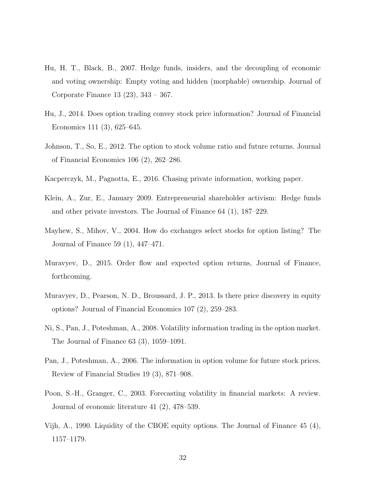- Hu, H. T., Black, B., 2007. Hedge funds, insiders, and the decoupling of economic and voting ownership: Empty voting and hidden (morphable) ownership. Journal of Corporate Finance 13 (23), 343 – 367.
- Hu, J., 2014. Does option trading convey stock price information? Journal of Financial Economics 111 (3), 625–645.
- Johnson, T., So, E., 2012. The option to stock volume ratio and future returns. Journal of Financial Economics 106 (2), 262–286.
- Kacperczyk, M., Pagnotta, E., 2016. Chasing private information, working paper.
- Klein, A., Zur, E., January 2009. Entrepreneurial shareholder activism: Hedge funds and other private investors. The Journal of Finance 64 (1), 187–229.
- Mayhew, S., Mihov, V., 2004. How do exchanges select stocks for option listing? The Journal of Finance 59 (1), 447–471.
- Muravyev, D., 2015. Order flow and expected option returns, Journal of Finance, forthcoming.
- Muravyev, D., Pearson, N. D., Broussard, J. P., 2013. Is there price discovery in equity options? Journal of Financial Economics 107 (2), 259–283.
- Ni, S., Pan, J., Poteshman, A., 2008. Volatility information trading in the option market. The Journal of Finance 63 (3), 1059–1091.
- Pan, J., Poteshman, A., 2006. The information in option volume for future stock prices. Review of Financial Studies 19 (3), 871–908.
- Poon, S.-H., Granger, C., 2003. Forecasting volatility in financial markets: A review. Journal of economic literature 41 (2), 478–539.
- Vijh, A., 1990. Liquidity of the CBOE equity options. The Journal of Finance 45 (4), 1157–1179.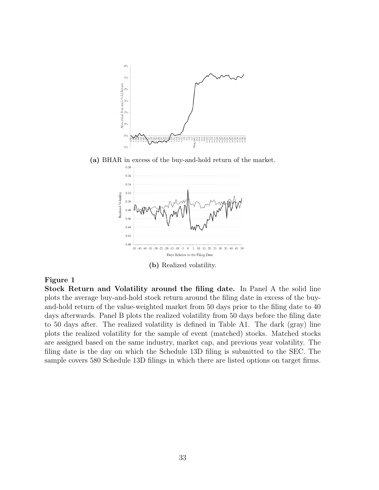

# Figure 1

Stock Return and Volatility around the filing date. In Panel A the solid line plots the average buy-and-hold stock return around the filing date in excess of the buyand-hold return of the value-weighted market from 50 days prior to the filing date to 40 days afterwards. Panel B plots the realized volatility from 50 days before the filing date to 50 days after. The realized volatility is defined in Table A1. The dark (gray) line plots the realized volatility for the sample of event (matched) stocks. Matched stocks are assigned based on the same industry, market cap, and previous year volatility. The filing date is the day on which the Schedule 13D filing is submitted to the SEC. The sample covers 580 Schedule 13D filings in which there are listed options on target firms.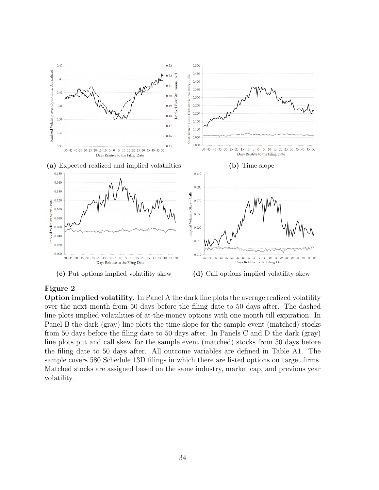

# Figure 2

Option implied volatility. In Panel A the dark line plots the average realized volatility over the next month from 50 days before the filing date to 50 days after. The dashed line plots implied volatilities of at-the-money options with one month till expiration. In Panel B the dark (gray) line plots the time slope for the sample event (matched) stocks from 50 days before the filing date to 50 days after. In Panels C and D the dark (gray) line plots put and call skew for the sample event (matched) stocks from 50 days before the filing date to 50 days after. All outcome variables are defined in Table A1. The sample covers 580 Schedule 13D filings in which there are listed options on target firms. Matched stocks are assigned based on the same industry, market cap, and previous year volatility.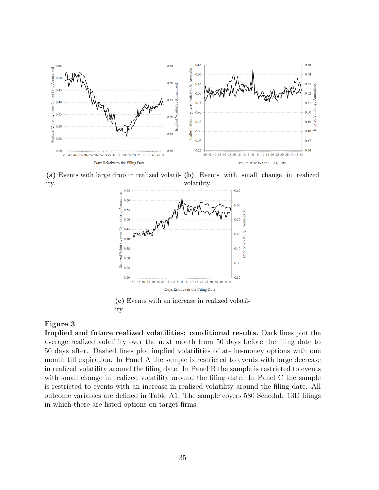

(a) Events with large drop in realized volatil-(b) Events with small change in realized ity. volatility.



(c) Events with an increase in realized volatility.

#### Figure 3

Implied and future realized volatilities: conditional results. Dark lines plot the average realized volatility over the next month from 50 days before the filing date to 50 days after. Dashed lines plot implied volatilities of at-the-money options with one month till expiration. In Panel A the sample is restricted to events with large decrease in realized volatility around the filing date. In Panel B the sample is restricted to events with small change in realized volatility around the filing date. In Panel C the sample is restricted to events with an increase in realized volatility around the filing date. All outcome variables are defined in Table A1. The sample covers 580 Schedule 13D filings in which there are listed options on target firms.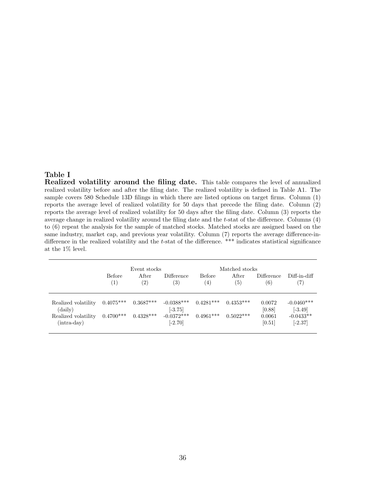# Table I

Realized volatility around the filing date. This table compares the level of annualized realized volatility before and after the filing date. The realized volatility is defined in Table A1. The sample covers 580 Schedule 13D filings in which there are listed options on target firms. Column (1) reports the average level of realized volatility for 50 days that precede the filing date. Column (2) reports the average level of realized volatility for 50 days after the filing date. Column (3) reports the average change in realized volatility around the filing date and the t-stat of the difference. Columns (4) to (6) repeat the analysis for the sample of matched stocks. Matched stocks are assigned based on the same industry, market cap, and previous year volatility. Column (7) reports the average difference-indifference in the realized volatility and the t-stat of the difference. \*\*\* indicates statistical significance at the 1% level.

|                                                                        | <b>Before</b><br>$\left( 1\right)$ | Event stocks<br>After<br>$\left( 2\right)$ | Difference<br>$\left(3\right)$                         | <b>Before</b><br>$\left(4\right)$ | Matched stocks<br><b>After</b><br>(5) | Difference<br>(6)                    | Diff-in-diff<br>7)                                    |
|------------------------------------------------------------------------|------------------------------------|--------------------------------------------|--------------------------------------------------------|-----------------------------------|---------------------------------------|--------------------------------------|-------------------------------------------------------|
| Realized volatility<br>(daily)<br>Realized volatility<br>$(intra-day)$ | $0.4075***$<br>$0.4700***$         | $0.3687***$<br>$0.4328***$                 | $-0.0388***$<br>$[-3.75]$<br>$-0.0372***$<br>$[-2.70]$ | $0.4281***$<br>$0.4961***$        | $0.4353***$<br>$0.5022***$            | 0.0072<br>[0.88]<br>0.0061<br>[0.51] | $-0.0460***$<br>$[-3.49]$<br>$-0.0433**$<br>$[-2.37]$ |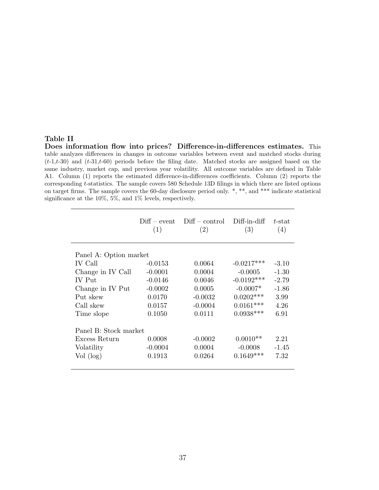## Table II

Does information flow into prices? Difference-in-differences estimates. This table analyzes differences in changes in outcome variables between event and matched stocks during  $(t-1,t-30)$  and  $(t-31,t-60)$  periods before the filing date. Matched stocks are assigned based on the same industry, market cap, and previous year volatility. All outcome variables are defined in Table A1. Column (1) reports the estimated difference-in-differences coefficients. Column (2) reports the corresponding t-statistics. The sample covers 580 Schedule 13D filings in which there are listed options on target firms. The sample covers the 60-day disclosure period only.  $*, **$ , and  $***$  indicate statistical significance at the 10%, 5%, and 1% levels, respectively.

|                        | (1)       | $Diff - event$ $Diff - control$<br>(2) | Diff-in-diff<br>(3) | $t$ -stat<br>(4) |
|------------------------|-----------|----------------------------------------|---------------------|------------------|
|                        |           |                                        |                     |                  |
| Panel A: Option market |           |                                        |                     |                  |
| IV Call                | $-0.0153$ | 0.0064                                 | $-0.0217***$        | $-3.10$          |
| Change in IV Call      | $-0.0001$ | 0.0004                                 | $-0.0005$           | $-1.30$          |
| IV Put                 | $-0.0146$ | 0.0046                                 | $-0.0192***$        | $-2.79$          |
| Change in IV Put       | $-0.0002$ | 0.0005                                 | $-0.0007*$          | $-1.86$          |
| Put skew               | 0.0170    | $-0.0032$                              | $0.0202***$         | 3.99             |
| Call skew              | 0.0157    | $-0.0004$                              | $0.0161***$         | 4.26             |
| Time slope             | 0.1050    | 0.0111                                 | $0.0938***$         | 6.91             |
| Panel B: Stock market  |           |                                        |                     |                  |
| Excess Return          | 0.0008    | $-0.0002$                              | $0.0010**$          | 2.21             |
| Volatility             | $-0.0004$ | 0.0004                                 | $-0.0008$           | $-1.45$          |
| Vol (log)              | 0.1913    | 0.0264                                 | $0.1649***$         | 7.32             |
|                        |           |                                        |                     |                  |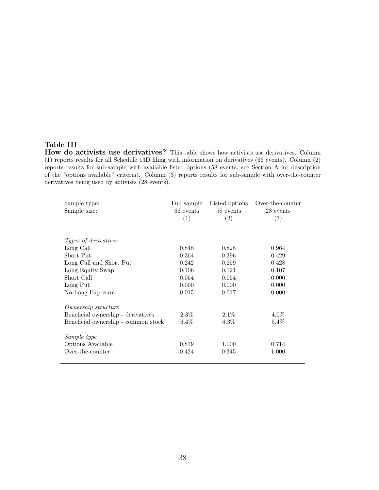# Table III

How do activists use derivatives? This table shows how activists use derivatives. Column (1) reports results for all Schedule 13D filing with information on derivatives (66 events). Column (2) reports results for sub-sample with available listed options (58 events; see Section A for description of the "options available" criteria). Column (3) reports results for sub-sample with over-the-counter derivatives being used by activists (28 events).

| Sample type:<br>Sample size:        | Full sample<br>66 events<br>(1) | Listed options<br>58 events<br>(2) | Over-the-counter<br>28 events<br>(3) |
|-------------------------------------|---------------------------------|------------------------------------|--------------------------------------|
| Types of derivatives                |                                 |                                    |                                      |
| Long Call                           | 0.848                           | 0.828                              | 0.964                                |
| Short Put                           | 0.364                           | 0.396                              | 0.429                                |
| Long Call and Short Put             | 0.242                           | 0.259                              | 0.428                                |
| Long Equity Swap                    | 0.106                           | 0.121                              | 0.107                                |
| Short Call                          | 0.054                           | 0.054                              | 0.000                                |
| Long Put                            | 0.000                           | 0.000                              | 0.000                                |
| No Long Exposure                    | 0.015                           | 0.017                              | 0.000                                |
| Ownership structure                 |                                 |                                    |                                      |
| Beneficial ownership - derivatives  | $2.3\%$                         | $2.1\%$                            | $4.0\%$                              |
| Beneficial ownership - common stock | $6.4\%$                         | $6.3\%$                            | $5.4\%$                              |
| Sample type                         |                                 |                                    |                                      |
| Options Available                   | 0.879                           | 1.000                              | 0.714                                |
| Over-the-counter                    | 0.424                           | 0.345                              | 1.000                                |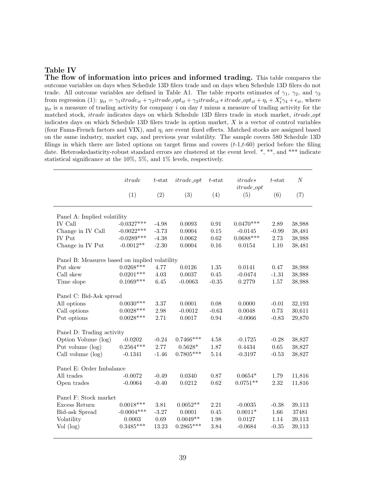#### Table IV

The flow of information into prices and informed trading. This table compares the outcome variables on days when Schedule 13D filers trade and on days when Schedule 13D filers do not trade. All outcome variables are defined in Table A1. The table reports estimates of  $\gamma_1$ ,  $\gamma_2$ , and  $\gamma_3$ from regression (1):  $y_{it} = \gamma_1 it \text{rad} e_{it} + \gamma_2 it \text{rad} e_{i} + \gamma_3 it \text{rad} e_{it} * it \text{rad} e_{i} + \eta_i + X_t' \gamma_4 + \epsilon_{it}$ , where  $y_{it}$  is a measure of trading activity for company i on day t minus a measure of trading activity for the matched stock, *itrade* indicates days on which Schedule 13D filers trade in stock market, *itrade\_opt* indicates days on which Schedule 13D filers trade in option market,  $X$  is a vector of control variables (four Fama-French factors and VIX), and  $\eta_i$  are event fixed effects. Matched stocks are assigned based on the same industry, market cap, and previous year volatility. The sample covers 580 Schedule 13D filings in which there are listed options on target firms and covers  $(t-1,t-60)$  period before the filing date. Heteroskedasticity-robust standard errors are clustered at the event level. \*, \*\*, and \*\*\* indicate statistical significance at the 10%, 5%, and 1% levels, respectively.

|                                               | itrade       | $t$ -stat | $itrade\_opt$ | $t$ -stat | $itrade*$<br>$itrade\_opt$ | $t$ -stat | $\boldsymbol{N}$ |
|-----------------------------------------------|--------------|-----------|---------------|-----------|----------------------------|-----------|------------------|
|                                               | (1)          | (2)       | (3)           | (4)       | (5)                        | (6)       | (7)              |
| Panel A: Implied volatility                   |              |           |               |           |                            |           |                  |
| <b>IV Call</b>                                | $-0.0327***$ | $-4.98$   | 0.0093        | 0.91      | $0.0470***$                | 2.89      | 38,988           |
| Change in IV Call                             | $-0.0022***$ | $-3.73$   | 0.0004        | 0.15      | $-0.0145$                  | $-0.99$   | 38,481           |
| <b>IV</b> Put                                 | $-0.0289***$ | $-4.38$   | 0.0062        | 0.62      | $0.0688***$                | 2.73      | 38,988           |
| Change in IV Put                              | $-0.0012**$  | $-2.30$   | 0.0004        | 0.16      | 0.0154                     | 1.10      | 38,481           |
| Panel B: Measures based on implied volatility |              |           |               |           |                            |           |                  |
| Put skew                                      | $0.0268***$  | 4.77      | 0.0126        | 1.35      | 0.0141                     | 0.47      | 38,988           |
| Call skew                                     | $0.0201***$  | 4.03      | 0.0037        | 0.45      | $-0.0474$                  | $-1.31$   | 38,988           |
| Time slope                                    | $0.1069***$  | 6.45      | $-0.0063$     | $-0.35$   | 0.2779                     | 1.57      | 38,988           |
| Panel C: Bid-Ask spread                       |              |           |               |           |                            |           |                  |
| All options                                   | $0.0030***$  | 3.37      | 0.0001        | 0.08      | 0.0000                     | $-0.01$   | 32,193           |
| Call options                                  | $0.0028***$  | 2.98      | $-0.0012$     | $-0.63$   | 0.0048                     | 0.73      | 30,611           |
| Put options                                   | $0.0028***$  | 2.71      | 0.0017        | 0.94      | $-0.0066$                  | $-0.83$   | 29,870           |
| Panel D: Trading activity                     |              |           |               |           |                            |           |                  |
| Option Volume (log)                           | $-0.0202$    | $-0.24$   | $0.7466***$   | 4.58      | $-0.1725$                  | $-0.28$   | 38,827           |
| Put volume (log)                              | $0.2564***$  | 2.77      | $0.5628*$     | 1.87      | 0.4434                     | $0.65\,$  | 38,827           |
| Call volume $(\log)$                          | $-0.1341$    | $-1.46$   | $0.7805***$   | 5.14      | $-0.3197$                  | $-0.53$   | 38,827           |
| Panel E: Order Imbalance                      |              |           |               |           |                            |           |                  |
| All trades                                    | $-0.0072$    | $-0.49$   | 0.0340        | 0.87      | $0.0654*$                  | 1.79      | 11,816           |
| Open trades                                   | $-0.0064$    | $-0.40$   | 0.0212        | 0.62      | $0.0751**$                 | 2.32      | 11,816           |
| Panel F: Stock market                         |              |           |               |           |                            |           |                  |
| Excess Return                                 | $0.0018***$  | 3.81      | $0.0052**$    | 2.21      | $-0.0035$                  | $-0.38$   | 39,113           |
| Bid-ask Spread                                | $-0.0004***$ | $-3.27$   | 0.0001        | 0.45      | $0.0011*$                  | 1.66      | 37481            |
| Volatility                                    | 0.0003       | 0.69      | $0.0049**$    | 1.98      | 0.0127                     | 1.14      | 39,113           |
| Vol (log)                                     | $0.3485***$  | 13.23     | $0.2865***$   | 3.84      | $-0.0684$                  | $-0.35$   | 39,113           |
|                                               |              |           |               |           |                            |           |                  |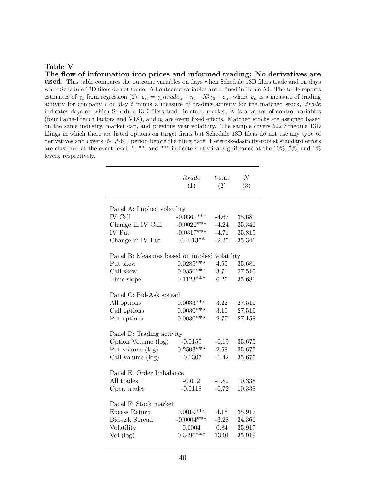#### Table V

#### The flow of information into prices and informed trading: No derivatives are

used. This table compares the outcome variables on days when Schedule 13D filers trade and on days when Schedule 13D filers do not trade. All outcome variables are defined in Table A1. The table reports estimates of  $\gamma_1$  from regression (2):  $y_{it} = \gamma_1 it \, r \, d e_{it} + \eta_i + X'_t \gamma_3 + \epsilon_{it}$ , where  $y_{it}$  is a measure of trading activity for company  $i$  on day  $t$  minus a measure of trading activity for the matched stock, *itrade* indicates days on which Schedule 13D filers trade in stock market, X is a vector of control variables (four Fama-French factors and VIX), and  $\eta_i$  are event fixed effects. Matched stocks are assigned based on the same industry, market cap, and previous year volatility. The sample covers 522 Schedule 13D filings in which there are listed options on target firms but Schedule 13D filers do not use any type of derivatives and covers  $(t-1,t-60)$  period before the filing date. Heteroskedasticity-robust standard errors are clustered at the event level.  $*, **$ , and  $***$  indicate statistical significance at the 10%, 5%, and 1% levels, respectively.

|                                               | itrade<br>(1) | $t$ -stat<br>(2) | $\cal N$<br>(3) |
|-----------------------------------------------|---------------|------------------|-----------------|
| Panel A: Implied volatility                   |               |                  |                 |
| <b>IV</b> Call                                | $-0.0361***$  | $-4.67$          | 35,681          |
| Change in IV Call                             | $-0.0026***$  | $-4.24$          | 35,346          |
| IV Put                                        | $-0.0317***$  | $-4.71$          | 35,815          |
| Change in IV Put                              | $-0.0013**$   | $-2.25$          | 35,346          |
| Panel B: Measures based on implied volatility |               |                  |                 |
| Put skew                                      | $0.0285***$   | 4.65             | 35,681          |
| Call skew                                     | $0.0356***$   | 3.71             | 27,510          |
| Time slope                                    | $0.1123***$   | 6.25             | 35,681          |
| Panel C: Bid-Ask spread                       |               |                  |                 |
| All options                                   | $0.0033***$   | 3.22             | 27,510          |
| Call options                                  | $0.0030***$   | 3.10             | 27,510          |
| Put options                                   | $0.0030***$   | 2.77             | 27,158          |
| Panel D: Trading activity                     |               |                  |                 |
| Option Volume (log)                           | $-0.0159$     | $-0.19$          | 35,675          |
| Put volume (log)                              | $0.2503***$   | 2.68             | 35,675          |
| Call volume (log)                             | $-0.1307$     | $-1.42$          | 35,675          |
|                                               |               |                  |                 |
| Panel E: Order Imbalance                      |               |                  |                 |
| All trades                                    | $-0.012$      | $-0.82$          | 10,338          |
| Open trades                                   | $-0.0118$     | $-0.72$          | 10,338          |
| Panel F: Stock market                         |               |                  |                 |
| Excess Return                                 | $0.0019***$   | 4.16             | 35,917          |
| <b>Bid-ask Spread</b>                         | $-0.0004***$  | $-3.28$          | 34,366          |
| Volatility                                    | 0.0004        | 0.84             | 35,917          |
| Vol (log)                                     | $0.3496***$   | 13.01            | 35,919          |
|                                               |               |                  |                 |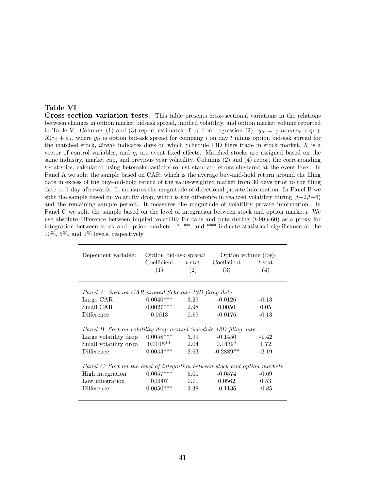#### Table VI

Cross-section variation tests. This table presents cross-sectional variations in the relations between changes in option market bid-ask spread, implied volatility, and option market volume reported in Table V. Columns (1) and (3) report estimates of  $\gamma_1$  from regression (2):  $y_{it} = \gamma_1 \text{irrad}_{it} + \eta_i +$  $X_t'\gamma_3 + \epsilon_{it}$ , where  $y_{it}$  is option bid-ask spread for company i on day t minus option bid-ask spread for the matched stock, itrade indicates days on which Schedule 13D filers trade in stock market, X is a vector of control variables, and  $\eta_i$  are event fixed effects. Matched stocks are assigned based on the same industry, market cap, and previous year volatility. Columns (2) and (4) report the corresponding t-statistics, calculated using heteroskedasticity-robust standard errors clustered at the event level. In Panel A we split the sample based on CAR, which is the average buy-and-hold return around the filing date in excess of the buy-and-hold return of the value-weighted market from 30 days prior to the filing date to 1 day afterwards. It measures the magnitude of directional private information. In Panel B we split the sample based on volatility drop, which is the difference in realized volatility during  $(t+2,t+6)$ and the remaining sample period. It measures the magnitude of volatility private information. In Panel C we split the sample based on the level of integration between stock and option markets. We use absolute difference between implied volatility for calls and puts during  $(t-90,t-60)$  as a proxy for integration between stock and option markets. \*, \*\*, and \*\*\* indicate statistical significance at the 10%, 5%, and 1% levels, respectively.

| Dependent variable:                                                                                                             | Option bid-ask spread<br>Coefficient<br>(1) | $t$ -stat<br>(2)     | Option volume (log)<br>Coefficient<br>(3) | $t$ -stat<br>(4)           |
|---------------------------------------------------------------------------------------------------------------------------------|---------------------------------------------|----------------------|-------------------------------------------|----------------------------|
| Panel A: Sort on CAR around Schedule 13D filing date                                                                            |                                             |                      |                                           |                            |
| Large CAR                                                                                                                       | $0.0040***$                                 | 3.29                 | $-0.0126$                                 | $-0.13$                    |
| Small CAR                                                                                                                       | $0.0027***$                                 | 2.98                 | 0.0050                                    | 0.05                       |
| Difference                                                                                                                      | 0.0013                                      | 0.89                 | $-0.0176$                                 | $-0.13$                    |
| Panel B: Sort on volatility drop around Schedule 13D filing date                                                                |                                             |                      |                                           |                            |
| Large volatility drop                                                                                                           | $0.0058***$                                 | 3.99                 | $-0.1450$                                 | $-1.42$                    |
| Small volatility drop                                                                                                           | $0.0015**$                                  | 2.04                 | $0.1439*$                                 | 1.72                       |
| Difference                                                                                                                      | $0.0043***$                                 | 2.63                 | $-0.2889**$                               | $-2.19$                    |
| Panel C: Sort on the level of integration between stock and option markets<br>High integration<br>Low integration<br>Difference | $0.0057***$<br>0.0007<br>$0.0050***$        | 5.00<br>0.71<br>3.38 | $-0.0574$<br>0.0562<br>$-0.1136$          | $-0.69$<br>0.53<br>$-0.85$ |
|                                                                                                                                 |                                             |                      |                                           |                            |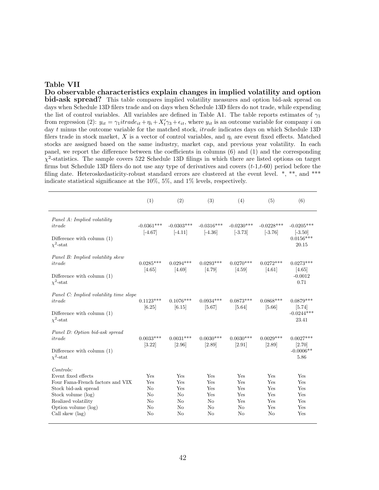#### Table VII

Do observable characteristics explain changes in implied volatility and option bid-ask spread? This table compares implied volatility measures and option bid-ask spread on days when Schedule 13D filers trade and on days when Schedule 13D filers do not trade, while expending the list of control variables. All variables are defined in Table A1. The table reports estimates of  $\gamma_1$ from regression (2):  $y_{it} = \gamma_1 it \frac{d e_{it} + \eta_i + X'_t \gamma_3 + \epsilon_{it}}{s_t}$ , where  $y_{it}$  is an outcome variable for company i on day t minus the outcome variable for the matched stock, *itrade* indicates days on which Schedule 13D filers trade in stock market, X is a vector of control variables, and  $\eta_i$  are event fixed effects. Matched stocks are assigned based on the same industry, market cap, and previous year volatility. In each panel, we report the difference between the coefficients in columns (6) and (1) and the corresponding  $\chi^2$ -statistics. The sample covers 522 Schedule 13D filings in which there are listed options on target firms but Schedule 13D filers do not use any type of derivatives and covers  $(t-1,t-60)$  period before the filing date. Heteroskedasticity-robust standard errors are clustered at the event level.  $*, **$ , and \*\*\* indicate statistical significance at the 10%, 5%, and 1% levels, respectively.

|                                                                                                                                                                                     | (1)                                                  | (2)                                                   | (3)                                                                | (4)                                               | (5)                                          | (6)                                               |
|-------------------------------------------------------------------------------------------------------------------------------------------------------------------------------------|------------------------------------------------------|-------------------------------------------------------|--------------------------------------------------------------------|---------------------------------------------------|----------------------------------------------|---------------------------------------------------|
| Panel A: Implied volatility<br>itrade<br>Difference with column $(1)$<br>$\chi^2$ -stat                                                                                             | $-0.0361***$<br>$[-4.67]$                            | $-0.0303***$<br>$[-4.11]$                             | $-0.0316***$<br>$[-4.36]$                                          | $-0.0230***$<br>$[-3.73]$                         | $-0.0228***$<br>$[-3.76]$                    | $-0.0205***$<br>$[-3.50]$<br>$0.0156***$<br>20.15 |
| Panel B: Implied volatility skew<br>itrade<br>Difference with column $(1)$<br>$\chi^2$ -stat                                                                                        | $0.0285***$<br>[4.65]                                | $0.0294***$<br>[4.69]                                 | $0.0293***$<br>[4.79]                                              | $0.0270***$<br>[4.59]                             | $0.0272***$<br>$[4.61]$                      | $0.0273***$<br>[4.65]<br>$-0.0012$<br>0.71        |
| Panel C: Implied volatility time slope<br>itrade<br>Difference with column $(1)$<br>$\chi^2$ -stat                                                                                  | $0.1123***$<br>[6.25]                                | $0.1076***$<br>[6.15]                                 | $0.0934***$<br>[5.67]                                              | $0.0873***$<br>$[5.64]$                           | $0.0868***$<br>[5.66]                        | $0.0879***$<br>[5.74]<br>$-0.0244***$<br>23.41    |
| Panel D: Option bid-ask spread<br>itrade<br>Difference with column $(1)$<br>$\chi^2$ -stat                                                                                          | $0.0033***$<br>[3.22]                                | $0.0031***$<br>[2.96]                                 | $0.0030***$<br>[2.89]                                              | $0.0030***$<br>[2.91]                             | $0.0029***$<br>[2.89]                        | $0.0027***$<br>[2.70]<br>$-0.0006**$<br>5.86      |
| Contents:<br>Event fixed effects<br>Four Fama-French factors and VIX<br>Stock bid-ask spread<br>Stock volume (log)<br>Realized volatility<br>Option volume (log)<br>Call skew (lag) | Yes<br>Yes<br>$\rm No$<br>$\rm No$<br>No<br>No<br>No | Yes<br>Yes<br>Yes<br>$\rm No$<br>No<br>$\rm No$<br>No | Yes<br>Yes<br>Yes<br>Yes<br>N <sub>o</sub><br>N <sub>o</sub><br>No | Yes<br>Yes<br>Yes<br>Yes<br>Yes<br>$\rm No$<br>No | Yes<br>Yes<br>Yes<br>Yes<br>Yes<br>Yes<br>No | Yes<br>Yes<br>Yes<br>Yes<br>Yes<br>Yes<br>Yes     |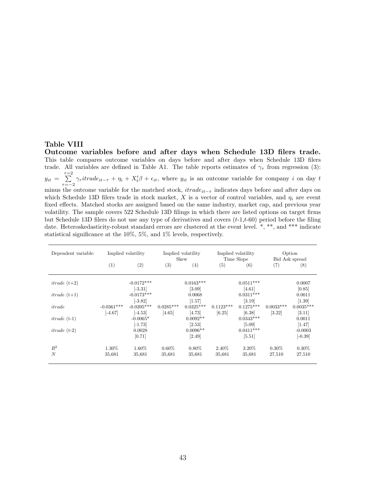#### Table VIII

Outcome variables before and after days when Schedule 13D filers trade. This table compares outcome variables on days before and after days when Schedule 13D filers trade. All variables are defined in Table A1. The table reports estimates of  $\gamma_{\tau}$  from regression (3):  $y_{it} = \sum_{i=1}^{\tau=2}$  $\sum_{\tau=-2}^{\infty} \gamma_{\tau} it rad e_{it-\tau} + \eta_i + X'_t \beta + \epsilon_{it}$ , where  $y_{it}$  is an outcome variable for company i on day t minus the outcome variable for the matched stock,  $itrade_{it-\tau}$  indicates days before and after days on which Schedule 13D filers trade in stock market, X is a vector of control variables, and  $\eta_i$  are event fixed effects. Matched stocks are assigned based on the same industry, market cap, and previous year volatility. The sample covers 522 Schedule 13D filings in which there are listed options on target firms but Schedule 13D filers do not use any type of derivatives and covers  $(t-1,t-60)$  period before the filing date. Heteroskedasticity-robust standard errors are clustered at the event level. \*, \*\*, and \*\*\* indicate statistical significance at the 10%, 5%, and 1% levels, respectively.

| Dependent variable: |                           | Implied volatility        |                       | Implied volatility<br>Skew |                       | Implied volatility<br>Time Slope   |                       | Option<br>Bid Ask spread |
|---------------------|---------------------------|---------------------------|-----------------------|----------------------------|-----------------------|------------------------------------|-----------------------|--------------------------|
|                     | (1)                       | (2)                       | (3)                   | (4)                        | (5)                   | (6)                                | (7)                   | (8)                      |
| $itrade(t+2)$       |                           | $-0.0172***$<br>$[-3.31]$ |                       | $0.0163***$<br>$[3.09]$    |                       | $0.0511***$<br>[4.61]              |                       | 0.0007<br>[0.85]         |
| $itrade(t+1)$       |                           | $-0.0173***$<br>$[-3.82]$ |                       | 0.0068<br>[1.57]           |                       | $0.0311***$<br>$\left[3.19\right]$ |                       | 0.0011<br>[1.39]         |
| itrade              | $-0.0361***$<br>$[-4.67]$ | $-0.0395***$<br>$[-4.53]$ | $0.0285***$<br>[4.65] | $0.0325***$<br>[4.73]      | $0.1123***$<br>[6.25] | $0.1275***$<br>[6.38]              | $0.0033***$<br>[3.22] | $0.0035***$<br>[3.11]    |
| $itrade(t-1)$       |                           | $-0.0065*$<br>$[-1.73]$   |                       | $0.0092**$<br>[2.53]       |                       | $0.0343***$<br>[5.09]              |                       | 0.0011<br>[1.47]         |
| $itrade(+2)$        |                           | 0.0028<br>[0.71]          |                       | $0.0096**$<br>$[2.49]$     |                       | $0.0411***$<br>[5.51]              |                       | $-0.0003$<br>$[-0.39]$   |
| $R^2$               | 1.30%                     | 1.60%                     | $0.60\%$              | $0.80\%$                   | 2.40\%                | $3.20\%$                           | $0.30\%$              | $0.30\%$                 |
| N                   | 35,681                    | 35.681                    | 35.681                | 35,681                     | 35,681                | 35,681                             | 27,510                | 27,510                   |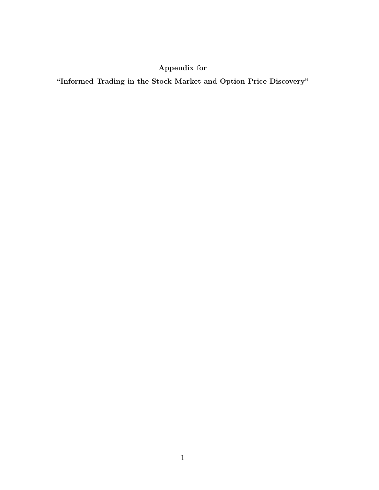# Appendix for

"Informed Trading in the Stock Market and Option Price Discovery"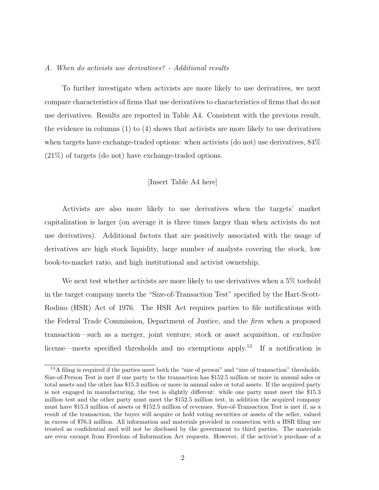#### A. When do activists use derivatives? - Additional results

To further investigate when activists are more likely to use derivatives, we next compare characteristics of firms that use derivatives to characteristics of firms that do not use derivatives. Results are reported in Table A4. Consistent with the previous result, the evidence in columns (1) to (4) shows that activists are more likely to use derivatives when targets have exchange-traded options: when activists (do not) use derivatives,  $84\%$ (21%) of targets (do not) have exchange-traded options.

#### [Insert Table A4 here]

Activists are also more likely to use derivatives when the targets' market capitalization is larger (on average it is three times larger than when activists do not use derivatives). Additional factors that are positively associated with the usage of derivatives are high stock liquidity, large number of analysts covering the stock, low book-to-market ratio, and high institutional and activist ownership.

We next test whether activists are more likely to use derivatives when a 5% toehold in the target company meets the "Size-of-Transaction Test" specified by the Hart-Scott-Rodino (HSR) Act of 1976. The HSR Act requires parties to file notifications with the Federal Trade Commission, Department of Justice, and the firm when a proposed transaction—such as a merger, joint venture, stock or asset acquisition, or exclusive license—meets specified thresholds and no exemptions apply.<sup>13</sup> If a notification is

<sup>&</sup>lt;sup>13</sup>A filing is required if the parties meet both the "size of person" and "size of transaction" thresholds. Size-of-Person Test is met if one party to the transaction has \$152.5 million or more in annual sales or total assets and the other has \$15.3 million or more in annual sales or total assets. If the acquired party is not engaged in manufacturing, the test is slightly different: while one party must meet the \$15.3 million test and the other party must meet the \$152.5 million test, in addition the acquired company must have \$15.3 million of assets or \$152.5 million of revenues. Size-of-Transaction Test is met if, as a result of the transaction, the buyer will acquire or hold voting securities or assets of the seller, valued in excess of \$76.3 million. All information and materials provided in connection with a HSR filing are treated as confidential and will not be disclosed by the government to third parties. The materials are even exempt from Freedom of Information Act requests. However, if the activist's purchase of a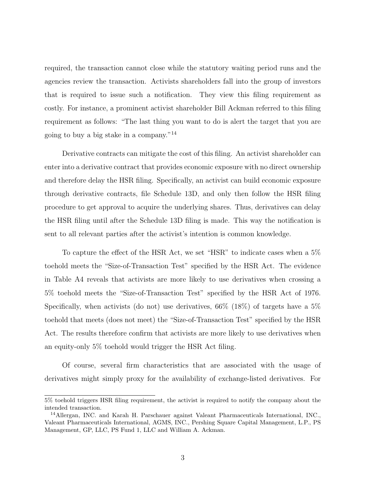required, the transaction cannot close while the statutory waiting period runs and the agencies review the transaction. Activists shareholders fall into the group of investors that is required to issue such a notification. They view this filing requirement as costly. For instance, a prominent activist shareholder Bill Ackman referred to this filing requirement as follows: "The last thing you want to do is alert the target that you are going to buy a big stake in a company."<sup>14</sup>

Derivative contracts can mitigate the cost of this filing. An activist shareholder can enter into a derivative contract that provides economic exposure with no direct ownership and therefore delay the HSR filing. Specifically, an activist can build economic exposure through derivative contracts, file Schedule 13D, and only then follow the HSR filing procedure to get approval to acquire the underlying shares. Thus, derivatives can delay the HSR filing until after the Schedule 13D filing is made. This way the notification is sent to all relevant parties after the activist's intention is common knowledge.

To capture the effect of the HSR Act, we set "HSR" to indicate cases when a 5% toehold meets the "Size-of-Transaction Test" specified by the HSR Act. The evidence in Table A4 reveals that activists are more likely to use derivatives when crossing a 5% toehold meets the "Size-of-Transaction Test" specified by the HSR Act of 1976. Specifically, when activists (do not) use derivatives,  $66\%$  (18%) of targets have a  $5\%$ toehold that meets (does not meet) the "Size-of-Transaction Test" specified by the HSR Act. The results therefore confirm that activists are more likely to use derivatives when an equity-only 5% toehold would trigger the HSR Act filing.

Of course, several firm characteristics that are associated with the usage of derivatives might simply proxy for the availability of exchange-listed derivatives. For

<sup>5%</sup> toehold triggers HSR filing requirement, the activist is required to notify the company about the intended transaction.

<sup>14</sup>Allergan, INC. and Karah H. Parschauer against Valeant Pharmaceuticals International, INC., Valeant Pharmaceuticals International, AGMS, INC., Pershing Square Capital Management, L.P., PS Management, GP, LLC, PS Fund 1, LLC and William A. Ackman.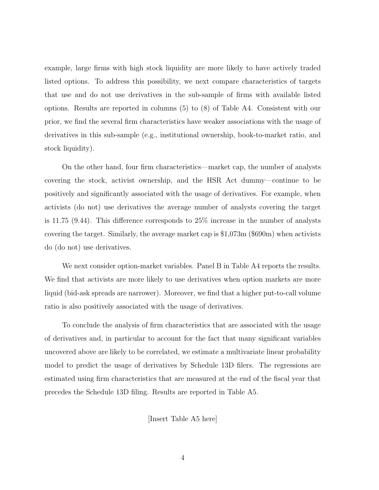example, large firms with high stock liquidity are more likely to have actively traded listed options. To address this possibility, we next compare characteristics of targets that use and do not use derivatives in the sub-sample of firms with available listed options. Results are reported in columns (5) to (8) of Table A4. Consistent with our prior, we find the several firm characteristics have weaker associations with the usage of derivatives in this sub-sample (e.g., institutional ownership, book-to-market ratio, and stock liquidity).

On the other hand, four firm characteristics—market cap, the number of analysts covering the stock, activist ownership, and the HSR Act dummy—continue to be positively and significantly associated with the usage of derivatives. For example, when activists (do not) use derivatives the average number of analysts covering the target is 11.75 (9.44). This difference corresponds to 25% increase in the number of analysts covering the target. Similarly, the average market cap is \$1,073m (\$690m) when activists do (do not) use derivatives.

We next consider option-market variables. Panel B in Table A4 reports the results. We find that activists are more likely to use derivatives when option markets are more liquid (bid-ask spreads are narrower). Moreover, we find that a higher put-to-call volume ratio is also positively associated with the usage of derivatives.

To conclude the analysis of firm characteristics that are associated with the usage of derivatives and, in particular to account for the fact that many significant variables uncovered above are likely to be correlated, we estimate a multivariate linear probability model to predict the usage of derivatives by Schedule 13D filers. The regressions are estimated using firm characteristics that are measured at the end of the fiscal year that precedes the Schedule 13D filing. Results are reported in Table A5.

[Insert Table A5 here]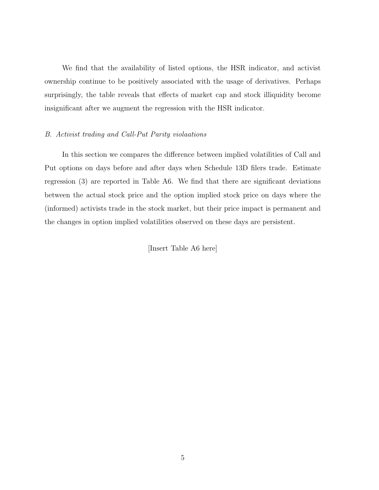We find that the availability of listed options, the HSR indicator, and activist ownership continue to be positively associated with the usage of derivatives. Perhaps surprisingly, the table reveals that effects of market cap and stock illiquidity become insignificant after we augment the regression with the HSR indicator.

#### B. Activist trading and Call-Put Parity violaations

In this section we compares the difference between implied volatilities of Call and Put options on days before and after days when Schedule 13D filers trade. Estimate regression (3) are reported in Table A6. We find that there are significant deviations between the actual stock price and the option implied stock price on days where the (informed) activists trade in the stock market, but their price impact is permanent and the changes in option implied volatilities observed on these days are persistent.

[Insert Table A6 here]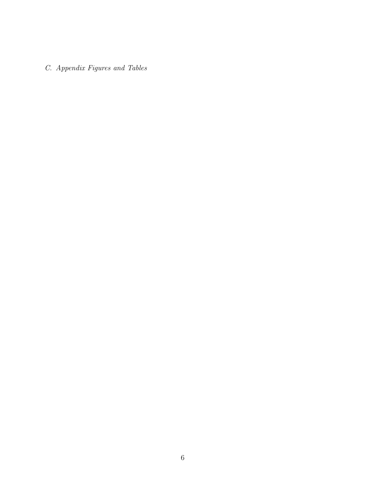C. Appendix Figures and Tables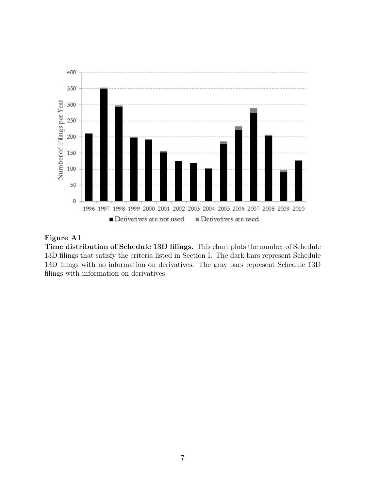

# Figure A1

Time distribution of Schedule 13D filings. This chart plots the number of Schedule 13D filings that satisfy the criteria listed in Section I. The dark bars represent Schedule 13D filings with no information on derivatives. The gray bars represent Schedule 13D filings with information on derivatives.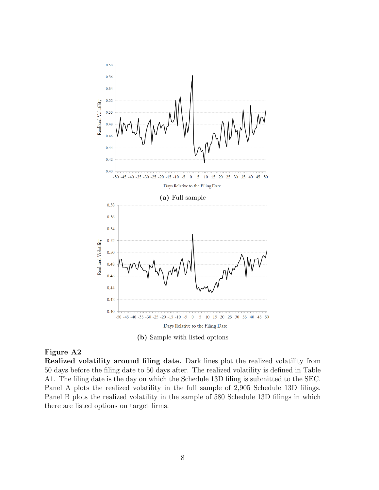



# Figure A2

Realized volatility around filing date. Dark lines plot the realized volatility from 50 days before the filing date to 50 days after. The realized volatility is defined in Table A1. The filing date is the day on which the Schedule 13D filing is submitted to the SEC. Panel A plots the realized volatility in the full sample of 2,905 Schedule 13D filings. Panel B plots the realized volatility in the sample of 580 Schedule 13D filings in which there are listed options on target firms.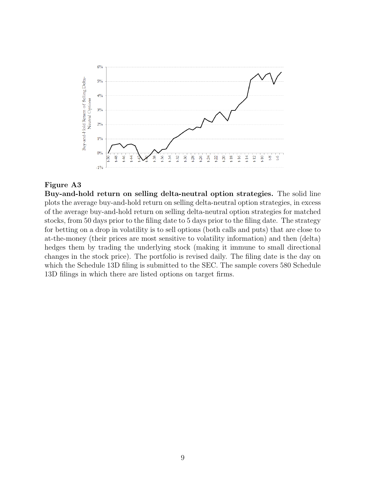

# Figure A3

Buy-and-hold return on selling delta-neutral option strategies. The solid line plots the average buy-and-hold return on selling delta-neutral option strategies, in excess of the average buy-and-hold return on selling delta-neutral option strategies for matched stocks, from 50 days prior to the filing date to 5 days prior to the filing date. The strategy for betting on a drop in volatility is to sell options (both calls and puts) that are close to at-the-money (their prices are most sensitive to volatility information) and then (delta) hedges them by trading the underlying stock (making it immune to small directional changes in the stock price). The portfolio is revised daily. The filing date is the day on which the Schedule 13D filing is submitted to the SEC. The sample covers 580 Schedule 13D filings in which there are listed options on target firms.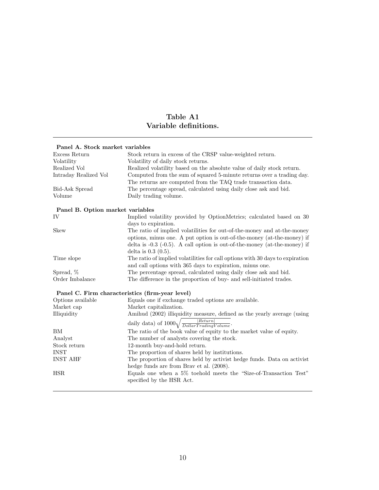# Table A1 Variable definitions.

| Panel A. Stock market variables                 |                                                                                                                                                   |
|-------------------------------------------------|---------------------------------------------------------------------------------------------------------------------------------------------------|
| Excess Return                                   | Stock return in excess of the CRSP value-weighted return.                                                                                         |
| Volatility                                      | Volatility of daily stock returns.                                                                                                                |
| Realized Vol                                    | Realized volatility based on the absolute value of daily stock return.                                                                            |
| Intraday Realized Vol                           | Computed from the sum of squared 5-minute returns over a trading day.<br>The returns are computed from the TAQ trade transaction data.            |
| <b>Bid-Ask Spread</b>                           | The percentage spread, calculated using daily close ask and bid.                                                                                  |
| Volume                                          | Daily trading volume.                                                                                                                             |
| Panel B. Option market variables                |                                                                                                                                                   |
| IV                                              | Implied volatility provided by OptionMetrics; calculated based on 30                                                                              |
|                                                 | days to expiration.                                                                                                                               |
| <b>Skew</b>                                     | The ratio of implied volatilities for out-of-the-money and at-the-money<br>options, minus one. A put option is out-of-the-money (at-the-money) if |
|                                                 | delta is $-0.3$ ( $-0.5$ ). A call option is out-of-the-money (at-the-money) if<br>delta is $0.3(0.5)$ .                                          |
| Time slope                                      | The ratio of implied volatilities for call options with 30 days to expiration                                                                     |
|                                                 | and call options with 365 days to expiration, minus one.                                                                                          |
| Spread, %                                       | The percentage spread, calculated using daily close ask and bid.                                                                                  |
| Order Imbalance                                 | The difference in the proportion of buy- and sell-initiated trades.                                                                               |
| Panel C. Firm characteristics (firm-year level) |                                                                                                                                                   |
| Options available                               | Equals one if exchange traded options are available.                                                                                              |
| Market cap                                      | Market capitalization.                                                                                                                            |
| Illiquidity                                     | Amihud (2002) illiquidity measure, defined as the yearly average (using                                                                           |
|                                                 | daily data) of $1000\sqrt{\frac{ Return }{DollarTradingVolume}}$ .                                                                                |
| <b>BM</b>                                       | The ratio of the book value of equity to the market value of equity.                                                                              |
| Analyst                                         | The number of analysts covering the stock.                                                                                                        |
| Stock return                                    | 12-month buy-and-hold return.                                                                                                                     |
| <b>INST</b>                                     | The proportion of shares held by institutions.                                                                                                    |
| <b>INST AHF</b>                                 | The proportion of shares held by activist hedge funds. Data on activist<br>hedge funds are from Brav et al. (2008).                               |
| <b>HSR</b>                                      | Equals one when a $5\%$ toehold meets the "Size-of-Transaction Test"<br>specified by the HSR Act.                                                 |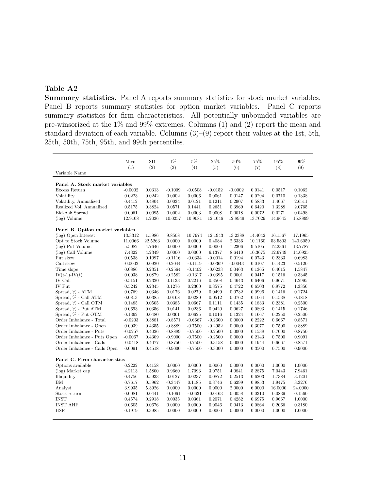# Table A2

Summary statistics. Panel A reports summary statistics for stock market variables. Panel B reports summary statistics for option market variables. Panel C reports summary statistics for firm characteristics. All potentially unbounded variables are pre-winsorized at the 1% and 99% extremes. Columns (1) and (2) report the mean and standard deviation of each variable. Columns (3)–(9) report their values at the 1st, 5th, 25th, 50th, 75th, 95th, and 99th percentiles.

|                                  | Mean<br>(1) | SD<br>(2) | 1%<br>(3) | $5\%$<br>(4) | $25\%$<br>(5) | 50%<br>(6) | $75\%$<br>(7) | 95%<br>(8) | 99%<br>(9) |
|----------------------------------|-------------|-----------|-----------|--------------|---------------|------------|---------------|------------|------------|
| Variable Name                    |             |           |           |              |               |            |               |            |            |
| Panel A. Stock market variables  |             |           |           |              |               |            |               |            |            |
| Excess Return                    | $-0.0002$   | 0.0313    | $-0.1009$ | $-0.0508$    | $-0.0152$     | $-0.0002$  | 0.0141        | 0.0517     | 0.1062     |
| Volatility                       | 0.0223      | 0.0242    | 0.0002    | 0.0006       | 0.0061        | 0.0147     | 0.0294        | 0.0710     | 0.1338     |
| Volatility, Annualized           | 0.4412      | 0.4804    | 0.0034    | 0.0121       | 0.1211        | 0.2907     | 0.5833        | 1.4067     | 2.6511     |
| Realized Vol, Annualized         | 0.5175      | 0.3824    | 0.0571    | 0.1441       | 0.2651        | 0.3969     | 0.6420        | 1.3288     | 2.0765     |
| <b>Bid-Ask Spread</b>            | 0.0061      | 0.0095    | 0.0002    | 0.0003       | 0.0008        | 0.0018     | 0.0072        | 0.0271     | 0.0498     |
| $(\log)$ Volume                  | 12.9108     | 1.2036    | 10.0257   | 10.9081      | 12.1046       | 12.8949    | 13.7029       | 14.9645    | 15.8899    |
| Panel B. Option market variables |             |           |           |              |               |            |               |            |            |
| (log) Open Interest              | 13.3312     | 1.5986    | 9.8508    | 10.7974      | 12.1943       | 13.2388    | 14.4042       | 16.1567    | 17.1965    |
| Opt to Stock Volume              | 11.0066     | 22.5263   | 0.0000    | 0.0000       | 0.4084        | 2.6336     | 10.1160       | 53.5803    | 140.6059   |
| (log) Put Volume                 | 5.5082      | 4.7646    | 0.0000    | 0.0000       | 0.0000        | 7.2306     | 9.5105        | 12.2361    | 13.7787    |
| (log) Call Volume                | 7.4322      | 4.2349    | 0.0000    | 0.0000       | 6.1377        | 8.6410     | 10.3675       | 12.6749    | 14.0925    |
| Put skew                         | 0.0538      | 0.1097    | $-0.1116$ | $-0.0334$    | $-0.0014$     | 0.0194     | 0.0743        | 0.2333     | 0.6983     |
| Call skew                        | $-0.0002$   | 0.0920    | $-0.2044$ | $-0.1119$    | $-0.0369$     | $-0.0043$  | 0.0107        | 0.1423     | 0.5120     |
| Time slope                       | 0.0886      | 0.2351    | $-0.2564$ | $-0.1402$    | $-0.0233$     | 0.0463     | 0.1365        | 0.4015     | 1.5847     |
| $IV(t-1)-IV(t)$                  | 0.0038      | 0.0879    | $-0.2582$ | $-0.1317$    | $-0.0395$     | 0.0001     | 0.0417        | 0.1516     | 0.3345     |
| IV Call                          | 0.5151      | 0.2320    | 0.1133    | 0.2216       | 0.3508        | 0.4643     | 0.6406        | 0.9671     | 1.2995     |
| IV Put                           | 0.5242      | 0.2345    | 0.1276    | 0.2300       | 0.3575        | 0.4722     | 0.6503        | 0.9772     | 1.3356     |
| Spread, % - ATM                  | 0.0769      | 0.0346    | 0.0176    | 0.0279       | 0.0499        | 0.0732     | 0.0996        | 0.1416     | 0.1724     |
| Spread, % - Call ATM             | 0.0813      | 0.0385    | 0.0168    | 0.0280       | 0.0512        | 0.0762     | 0.1064        | 0.1538     | 0.1818     |
| Spread, % - Call OTM             | 0.1485      | 0.0505    | 0.0385    | 0.0667       | 0.1111        | 0.1435     | 0.1833        | 0.2381     | 0.2500     |
| Spread, % - Put ATM              | 0.0693      | 0.0356    | 0.0141    | 0.0236       | 0.0420        | 0.0627     | 0.0893        | 0.1415     | 0.1746     |
| Spread, % - Put OTM              | 0.1362      | 0.0480    | 0.0361    | 0.0625       | 0.1016        | 0.1324     | 0.1667        | 0.2250     | 0.2500     |
| Order Imbalance - Total          | $-0.0203$   | 0.3881    | $-0.8571$ | $-0.6667$    | $-0.2600$     | 0.0000     | 0.2222        | 0.6667     | 0.8571     |
| Order Imbalance - Open           | 0.0039      | 0.4355    | $-0.8889$ | $-0.7500$    | $-0.2952$     | 0.0000     | 0.3077        | 0.7500     | 0.8889     |
| Order Imbalance - Puts           | $-0.0257$   | 0.4026    | $-0.8889$ | $-0.7500$    | $-0.2500$     | 0.0000     | 0.1538        | 0.7000     | 0.8750     |
| Order Imbalance - Puts Open      | $-0.0067$   | 0.4309    | $-0.9000$ | $-0.7500$    | $-0.2500$     | 0.0000     | 0.2143        | 0.7500     | 0.9091     |
| Order Imbalance - Calls          | $-0.0418$   | 0.4077    | $-0.8750$ | $-0.7500$    | $-0.3158$     | 0.0000     | 0.1944        | 0.6667     | 0.8571     |
| Order Imbalance - Calls Open     | 0.0091      | 0.4518    | $-0.9000$ | $-0.7500$    | $-0.3000$     | 0.0000     | 0.3500        | 0.7500     | 0.9000     |
|                                  |             |           |           |              |               |            |               |            |            |
| Panel C. Firm characteristics    |             |           |           |              |               |            |               |            |            |
| Options available                | 0.2222      | 0.4158    | 0.0000    | 0.0000       | 0.0000        | 0.0000     | 0.0000        | 1.0000     | 1.0000     |
| (log) Market cap                 | 4.2113      | 1.5800    | 0.9660    | 1.7093       | 3.0751        | 4.0841     | 5.2875        | 7.0443     | 7.9461     |
| Illiquidity                      | 0.4756      | 0.5933    | 0.0127    | 0.0237       | 0.0872        | 0.2513     | 0.6203        | 1.7384     | 3.1201     |
| BM                               | 0.7617      | 0.5962    | $-0.3447$ | 0.1185       | 0.3746        | 0.6299     | 0.9853        | 1.9475     | 3.3276     |
| Analyst                          | 3.9935      | 5.3926    | 0.0000    | 0.0000       | 0.0000        | 2.0000     | 6.0000        | 16.0000    | 24.0000    |
| Stock return                     | 0.0081      | 0.0441    | $-0.1061$ | $-0.0631$    | $-0.0163$     | 0.0058     | 0.0310        | 0.0839     | 0.1560     |
| <b>INST</b>                      | 0.4574      | 0.2918    | 0.0035    | 0.0361       | 0.2071        | 0.4282     | 0.6975        | 0.9667     | 1.0000     |
| <b>INST AHF</b>                  | 0.0605      | 0.0676    | 0.0000    | 0.0000       | 0.0046        | 0.0413     | 0.0864        | 0.2066     | 0.3180     |
| HSR.                             | 0.1979      | 0.3985    | 0.0000    | 0.0000       | 0.0000        | 0.0000     | 0.0000        | 1.0000     | 1.0000     |
|                                  |             |           |           |              |               |            |               |            |            |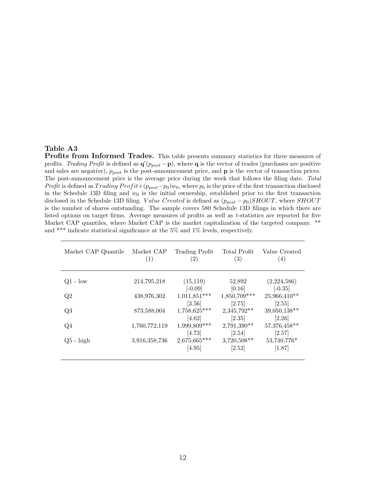#### Table A3

Profits from Informed Trades. This table presents summary statistics for three measures of profits. Trading Profit is defined as  $\mathbf{q}'(p_{post} - \mathbf{p})$ , where q is the vector of trades (purchases are positive and sales are negative),  $p_{post}$  is the post-announcement price, and **p** is the vector of transaction prices. The post-announcement price is the average price during the week that follows the filing date. Total Profit is defined as  $T^{rading}$   $Profit+(p_{post}-p_0)w_0$ , where  $p_0$  is the price of the first transaction disclosed in the Schedule 13D filing and  $w_0$  is the initial ownership, established prior to the first transaction disclosed in the Schedule 13D filing. Value Created is defined as  $(p_{post} - p_0)SHOUT$ , where SHOUT is the number of shares outstanding. The sample covers 580 Schedule 13D filings in which there are listed options on target firms. Average measures of profits as well as t-statistics are reported for five Market CAP quantiles, where Market CAP is the market capitalization of the targeted company. \*\* and \*\*\* indicate statistical significance at the 5% and 1% levels, respectively.

| Market CAP Quantile | Market CAP<br>$\left( 1\right)$ | Trading Profit<br>$\left( 2\right)$ | Total Profit<br>(3)     | Value Created<br>(4)     |
|---------------------|---------------------------------|-------------------------------------|-------------------------|--------------------------|
| $Q1 - low$          | 214,795,218                     | (15, 119)<br>$[-0.09]$              | 52,892<br>[0.16]        | (2,224,586)<br>$[-0.35]$ |
| Q2                  | 438,976,302                     | $1,011,851***$<br>[3.56]            | 1,850,709***<br>[2.75]  | $25,966,410**$<br>[2.55] |
| Q3                  | 873,588,004                     | $1,758,625***$<br>$[4.62]$          | 2,345,792**<br>[2.35]   | 39,050,138**<br>$[2.26]$ |
| Q4                  | 1,760,772,119                   | $1,999,809***$<br>[4.73]            | $2,791,390**$<br>[2.54] | 57,376,458**<br>[2.57]   |
| $Q5 - high$         | 3,916,358,736                   | 2,675,665***<br>[4.95]              | 3,720,508**<br>[2.52]   | 53,740,776*<br>[1.87]    |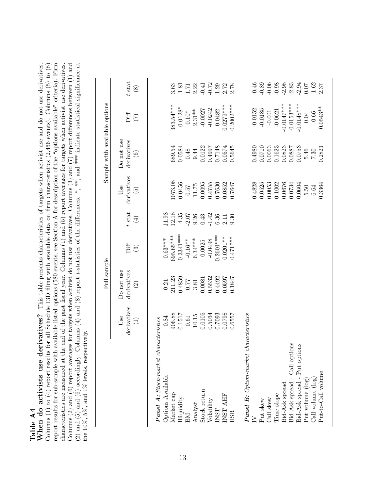Columns (2) and (6) report averages for targets when activist do not use derivatives. Columns (3) and (7) report differences between (1) and (2) and (5) and (6) accordingly. Columns (4) and (8) report *t*-statistics of th report results for sub-sample with available listed options (580 events; see Section A for description of the "options available" criteria). Firm Columns (1) to (4) report results for all Schedule 13D filing with available data on firm characteristics (2,466 events). Columns (5) to (8) Table A4<br>When do activists use derivatives? This table presents characteristics of targets when activist use and do not use derivatives. When do activists use derivatives? This table presents characteristics of targets when activist use and do not use derivatives. report results for sub-sample with available listed options (580 events; see Section A for description of the "options available" criteria). Firm<br>characteristics current and at the angular firm and  $\alpha$  for a control of t characteristics are measured at the end of the past fiscal year. Columns  $(1)$  and  $(5)$  report averages for targets when activist use derivatives. characteristics are measured at the end of the past fiscal year. Columns  $(1)$  and  $(5)$  report averages for targets when activist use derivatives. Columns (2) and (6) report averages for targets when activist do not use derivatives. Columns (3) and (7) report differences between (1) and  $\overline{C}$ (2) and (5) and (6) accordingly. Columns (4) and (8) report t-statistics of the differences. \*, \*\*, and \*\*\* indicate statistical significance at Columns (1) to (4) report results for all Schedule 13D filing with available data on firm characteristics (2,466 events). Columns (5) to (8) the 10%, 5%, and 1% levels, respectively.

|                                       |                                                                 | Full sample                                                                          |                                                                                                         |                                                                                                                                                                                                                                                                                                                  |                                                                                                                             | Sample with available options                                                                              |                                                                                                                                 |                                                                                                                                                                                                                                                                                |
|---------------------------------------|-----------------------------------------------------------------|--------------------------------------------------------------------------------------|---------------------------------------------------------------------------------------------------------|------------------------------------------------------------------------------------------------------------------------------------------------------------------------------------------------------------------------------------------------------------------------------------------------------------------|-----------------------------------------------------------------------------------------------------------------------------|------------------------------------------------------------------------------------------------------------|---------------------------------------------------------------------------------------------------------------------------------|--------------------------------------------------------------------------------------------------------------------------------------------------------------------------------------------------------------------------------------------------------------------------------|
|                                       | derivatives<br>Use                                              | Do not use<br>derivatives                                                            | Diff                                                                                                    | $t$ -stat                                                                                                                                                                                                                                                                                                        | derivatives<br>Use                                                                                                          | Do not use<br>derivatives                                                                                  |                                                                                                                                 | $t$ -stat                                                                                                                                                                                                                                                                      |
|                                       | $\bigoplus$                                                     | $\odot$                                                                              | $\tag{3}$                                                                                               | $\tag{4}$                                                                                                                                                                                                                                                                                                        | $\widetilde{5}$                                                                                                             | $\odot$                                                                                                    | Tiff<br>(7)                                                                                                                     | $\circledast$                                                                                                                                                                                                                                                                  |
| Panel A: Stock-market characteristics |                                                                 |                                                                                      |                                                                                                         |                                                                                                                                                                                                                                                                                                                  |                                                                                                                             |                                                                                                            |                                                                                                                                 |                                                                                                                                                                                                                                                                                |
| Options Available                     | $\begin{array}{c} 0.84 \\ 906.88 \\ 0.1517 \\ 0.61 \end{array}$ | $\begin{array}{c} 0.21 \\ 211.23 \\ 0.4859 \\ 0.77 \\ 3.81 \\ 0.0081 \\ \end{array}$ | $\begin{array}{c} 0.63^{***} \\ 695.65^{***} \\ -0.3341^{***} \\ -0.16^{**} \\ 63.34^{***} \end{array}$ | $\begin{array}{cccc} 1.98 \\ 1.12 \\ 1.43 \\ 1.55 \\ 1.65 \\ 1.75 \\ 1.86 \\ 1.75 \\ 1.75 \\ 1.75 \\ 1.75 \\ 1.75 \\ 1.75 \\ 1.75 \\ 1.75 \\ 1.75 \\ 1.75 \\ 1.75 \\ 1.75 \\ 1.75 \\ 1.75 \\ 1.75 \\ 1.75 \\ 1.75 \\ 1.75 \\ 1.75 \\ 1.75 \\ 1.75 \\ 1.75 \\ 1.75 \\ 1.75 \\ 1.75 \\ 1.75 \\ 1.75 \\ 1.75 \\ 1.$ |                                                                                                                             |                                                                                                            |                                                                                                                                 |                                                                                                                                                                                                                                                                                |
| Market cap                            |                                                                 |                                                                                      |                                                                                                         |                                                                                                                                                                                                                                                                                                                  |                                                                                                                             | 389.54                                                                                                     |                                                                                                                                 | 3.63                                                                                                                                                                                                                                                                           |
| Illiquidity                           |                                                                 |                                                                                      |                                                                                                         |                                                                                                                                                                                                                                                                                                                  |                                                                                                                             |                                                                                                            |                                                                                                                                 |                                                                                                                                                                                                                                                                                |
| BМ                                    |                                                                 |                                                                                      |                                                                                                         |                                                                                                                                                                                                                                                                                                                  |                                                                                                                             |                                                                                                            |                                                                                                                                 |                                                                                                                                                                                                                                                                                |
| Analyst<br>Stock return               | $10.15\,$                                                       |                                                                                      |                                                                                                         |                                                                                                                                                                                                                                                                                                                  |                                                                                                                             |                                                                                                            |                                                                                                                                 |                                                                                                                                                                                                                                                                                |
|                                       | $\begin{array}{c} 0.0105 \\ 0.5034 \\ 0.7093 \end{array}$       |                                                                                      | $0.0025$<br>$-0.0498$                                                                                   |                                                                                                                                                                                                                                                                                                                  | $\begin{array}{l} 1073.08\\ 0.0456\\ 0.57\\ 11.75\\ 0.0095\\ 0.4755\\ 0.0085\\ 0.7630\\ 0.0852\\ \end{array}$               | $\begin{array}{c} 0.0584 \\ 0.48 \\ 9.44 \\ 0.0122 \\ 0.0122 \\ 0.7148 \\ 0.7148 \\ 0.0574 \\ \end{array}$ | $\begin{array}{l} 383.54^{***} \\ -0.0128^{*} \\ 0.10^{*} \\ 2.31^{**} \\ -0.0027 \\ -0.0242 \\ 0.014 \\ 0.0027 \\ \end{array}$ | $\begin{array}{cccc}\n1.81 & 1.71 & 1.72 & 1.73 & 1.74 & 1.75 & 1.74 & 1.75 & 1.75 & 1.75 & 1.75 & 1.75 & 1.75 & 1.75 & 1.75 & 1.75 & 1.75 & 1.75 & 1.75 & 1.75 & 1.75 & 1.75 & 1.75 & 1.75 & 1.75 & 1.75 & 1.75 & 1.75 & 1.75 & 1.75 & 1.75 & 1.75 & 1.75 & 1.75 & 1.75 & 1.$ |
| Volatility                            |                                                                 |                                                                                      |                                                                                                         |                                                                                                                                                                                                                                                                                                                  |                                                                                                                             |                                                                                                            |                                                                                                                                 |                                                                                                                                                                                                                                                                                |
| <b>INST</b>                           |                                                                 | 0.4492                                                                               | $0.2601***$                                                                                             |                                                                                                                                                                                                                                                                                                                  |                                                                                                                             |                                                                                                            |                                                                                                                                 |                                                                                                                                                                                                                                                                                |
| INST AHF                              | 0.0798<br>0.6557                                                | 0.0597<br>0.1847                                                                     | $0.0201***$<br>$0.471***$                                                                               |                                                                                                                                                                                                                                                                                                                  |                                                                                                                             |                                                                                                            | $0.0279***$<br>0.2002***                                                                                                        |                                                                                                                                                                                                                                                                                |
| <b>HSR</b>                            |                                                                 |                                                                                      |                                                                                                         |                                                                                                                                                                                                                                                                                                                  |                                                                                                                             |                                                                                                            |                                                                                                                                 |                                                                                                                                                                                                                                                                                |
| <b>Panel B:</b> Option-market         | characteristics                                                 |                                                                                      |                                                                                                         |                                                                                                                                                                                                                                                                                                                  |                                                                                                                             |                                                                                                            |                                                                                                                                 |                                                                                                                                                                                                                                                                                |
|                                       |                                                                 |                                                                                      |                                                                                                         |                                                                                                                                                                                                                                                                                                                  |                                                                                                                             |                                                                                                            | $-0.0152$                                                                                                                       |                                                                                                                                                                                                                                                                                |
| Put skew                              |                                                                 |                                                                                      |                                                                                                         |                                                                                                                                                                                                                                                                                                                  |                                                                                                                             |                                                                                                            | $-0.0185$                                                                                                                       |                                                                                                                                                                                                                                                                                |
| Call skew                             |                                                                 |                                                                                      |                                                                                                         |                                                                                                                                                                                                                                                                                                                  | $\begin{array}{r} 0.4828 \\ 0.0525 \\ 0.0053 \\ 0.1002 \\ 0.0676 \\ 0.0734 \\ 0.0604 \\ 0.0604 \\ 5.50 \\ 6.64 \end{array}$ | $\begin{array}{c} 0.4980 \\ 0.0710 \\ 0.0063 \\ 0.1623 \end{array}$                                        | $-0.001$<br>$-0.0621$                                                                                                           |                                                                                                                                                                                                                                                                                |
| Time slope                            |                                                                 |                                                                                      |                                                                                                         |                                                                                                                                                                                                                                                                                                                  |                                                                                                                             |                                                                                                            |                                                                                                                                 |                                                                                                                                                                                                                                                                                |
| Bid-Ask spread                        |                                                                 |                                                                                      |                                                                                                         |                                                                                                                                                                                                                                                                                                                  |                                                                                                                             |                                                                                                            |                                                                                                                                 |                                                                                                                                                                                                                                                                                |
| Bid-Ask spread - Call options         |                                                                 |                                                                                      |                                                                                                         |                                                                                                                                                                                                                                                                                                                  |                                                                                                                             | $\begin{array}{c} 0.0823 \\ 0.0887 \\ 0.0753 \end{array}$                                                  | $-0.0147***$<br>$-0.0153***$<br>$-0.0153***$                                                                                    |                                                                                                                                                                                                                                                                                |
| Bid-Ask spread - Put options          |                                                                 |                                                                                      |                                                                                                         |                                                                                                                                                                                                                                                                                                                  |                                                                                                                             |                                                                                                            |                                                                                                                                 |                                                                                                                                                                                                                                                                                |
| Put volume (log)                      |                                                                 |                                                                                      |                                                                                                         |                                                                                                                                                                                                                                                                                                                  |                                                                                                                             | $\frac{5.46}{7.30}$<br>0.2821                                                                              | 0.04                                                                                                                            |                                                                                                                                                                                                                                                                                |
| Call volume (log)                     |                                                                 |                                                                                      |                                                                                                         |                                                                                                                                                                                                                                                                                                                  |                                                                                                                             |                                                                                                            | $-0.66$                                                                                                                         |                                                                                                                                                                                                                                                                                |
| Put-to-Call volume                    |                                                                 |                                                                                      |                                                                                                         |                                                                                                                                                                                                                                                                                                                  | 0.3364                                                                                                                      |                                                                                                            | $0.0543**$                                                                                                                      |                                                                                                                                                                                                                                                                                |
|                                       |                                                                 |                                                                                      |                                                                                                         |                                                                                                                                                                                                                                                                                                                  |                                                                                                                             |                                                                                                            |                                                                                                                                 |                                                                                                                                                                                                                                                                                |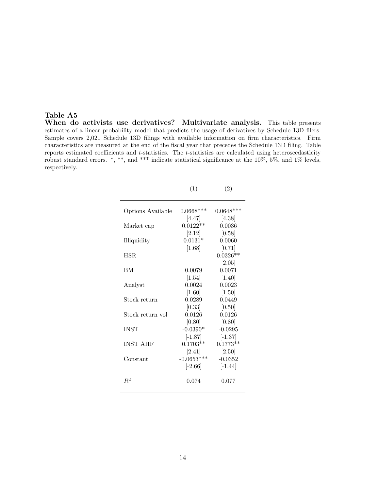#### Table A5

When do activists use derivatives? Multivariate analysis. This table presents estimates of a linear probability model that predicts the usage of derivatives by Schedule 13D filers. Sample covers 2,021 Schedule 13D filings with available information on firm characteristics. Firm characteristics are measured at the end of the fiscal year that precedes the Schedule 13D filing. Table reports estimated coefficients and  $t$ -statistics. The  $t$ -statistics are calculated using heteroscedasticity robust standard errors. \*, \*\*, and \*\*\* indicate statistical significance at the 10%, 5%, and 1% levels, respectively.

| $0.0648***$                      |
|----------------------------------|
| 0.0036                           |
| 0.0060                           |
| $0.0326**$                       |
|                                  |
| 0.0023                           |
| 0.0449                           |
| 0.0126                           |
| $-0.0295$                        |
| $0.1773**$                       |
| $-0.0352$                        |
|                                  |
|                                  |
| 0.0071<br>$[-1.37]$<br>$[-1.44]$ |